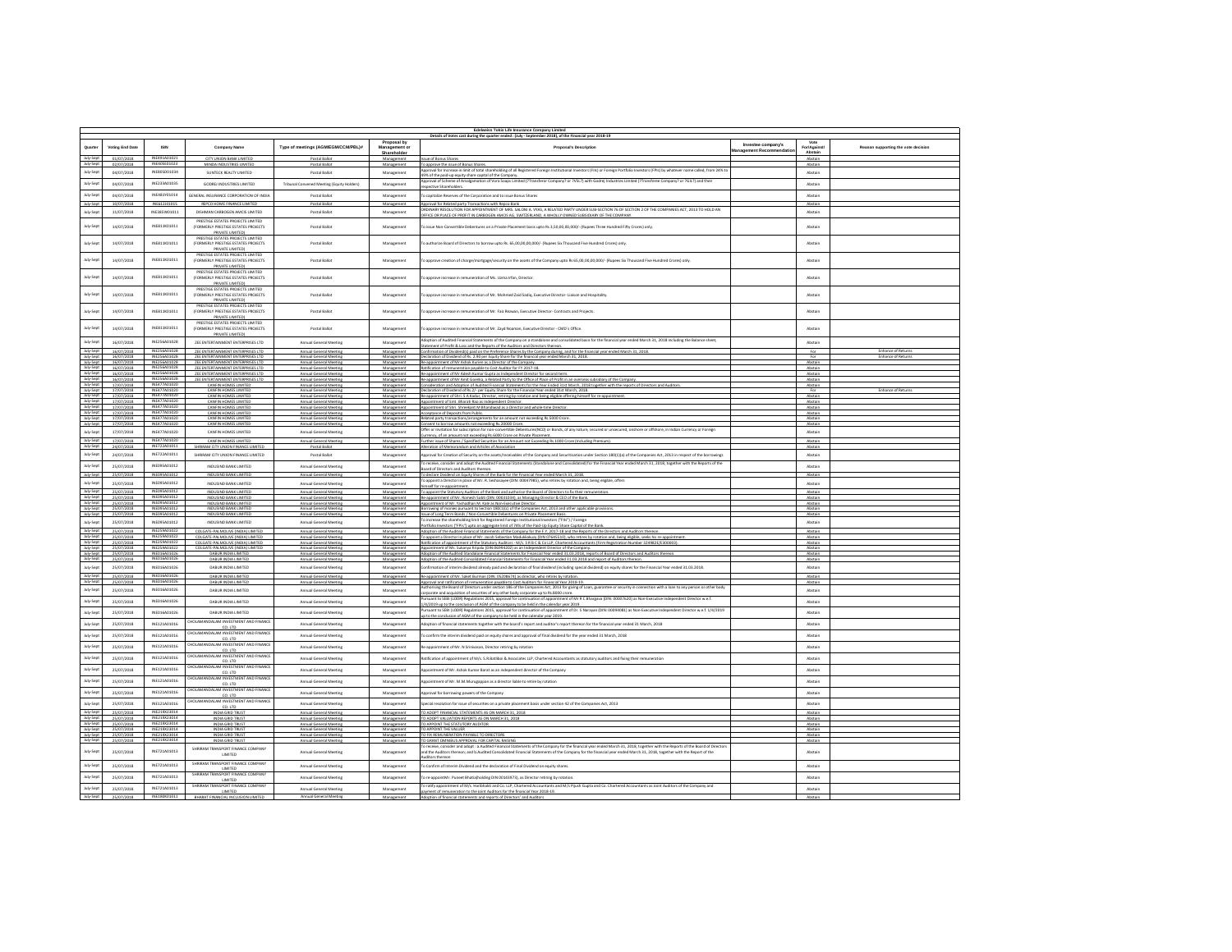|                        | Edelweiss Tokio Life Insurance Company Limited<br>Details of Votes cast during the quarter ended : (July - September 2018), of the Financial year 2018-19 |                                         |                                                                                |                                                        |                             |                                                                                                                                                                                                                                                                                                 |                                      |                    |                                                        |
|------------------------|-----------------------------------------------------------------------------------------------------------------------------------------------------------|-----------------------------------------|--------------------------------------------------------------------------------|--------------------------------------------------------|-----------------------------|-------------------------------------------------------------------------------------------------------------------------------------------------------------------------------------------------------------------------------------------------------------------------------------------------|--------------------------------------|--------------------|--------------------------------------------------------|
|                        | Voting End Date                                                                                                                                           | <b>ISIN</b>                             | <b>Company Name</b>                                                            | Type of meetings (AGM/EGM/CCM/PBL)#                    | Proposal by<br>Management o | Proposal's Description                                                                                                                                                                                                                                                                          | Investee company's<br>sgement Recomm | Vote<br>Forlanging | Reason supporting the vote decision                    |
| July-Sept              | 01/07/2018                                                                                                                                                | INE491A01021                            | CITY UNION BANK LIMITED                                                        | Postal Railor                                          | Shareholder<br>Management   | sue of Bonus Shares                                                                                                                                                                                                                                                                             |                                      | Ahstain<br>Abstain |                                                        |
| July-Sept              | 02/07/2018                                                                                                                                                | INE405E01023                            | MINDA INDUSTRIES LIMITED                                                       | Postal Ballot                                          | Manazement                  | To approve the issue of Bonus Shares.                                                                                                                                                                                                                                                           |                                      | Abstain            |                                                        |
| July-Sep               | 04/07/2018                                                                                                                                                | INE805D01034                            | SUNTECK REALTY LIMITED                                                         | Postal Ballot                                          | Management                  | pproval for increase in limit of total shareholding of all Registered Foreign Institutional Investors (FIIs) or Foreign Portfolio Investors (FPIs) by whatever name called, from 24% t<br>49% of the paid-up equity share capital of the Company.                                               |                                      | Abstain            |                                                        |
| July-Sept              | 04/07/2018                                                                                                                                                | INF233401035                            | GODREJ INDUSTRIES LIMITED                                                      | Tribunal Convened Meeting (Equity Holders)             | Management                  | pproval of Scheme of Amalgamation of Vora Soaps Limited (?Transferor Company? or ?VSL?) with Godrej Industries Limited (?Transferee Company? or ?GIL?) and their<br>pective Shareholders.                                                                                                       |                                      | Abstair            |                                                        |
| July-Sep               | 04/07/2018                                                                                                                                                | INFAR1Y01014                            | GENERAL INSURANCE CORPORATION OF INDI                                          | Postal Ballot                                          | Management                  | capitalize Reserves of the Corporation and to issue Bonus Shares                                                                                                                                                                                                                                |                                      | Abstain            |                                                        |
| July-Sept              | 10/07/2018                                                                                                                                                | INE612J01015                            | REPCO HOME FINANCE LIMITED                                                     | Postal Ballot                                          | Management                  | pproval for Related party Transactions with Repco Ban                                                                                                                                                                                                                                           |                                      | Abstair            |                                                        |
| July-Sept              | 11/07/2018                                                                                                                                                | INE385W01011                            | DISHMAN CARBOGEN AMCIS LIMITED                                                 | Postal Ballot                                          | Manazement                  | .<br>ROINARY RESOLUTION FOR APPOINTMENT OF MRS. SALONI A. VYAS. A RELATED PARTY UNDER SUB-SECTION 76 OF SECTION 2 OF THE COMPANIES ACT. 2013 TO HOLD AN<br>.<br>DEFICE OR PLACE OF PROFIT IN CARBOGEN AMCLS AG, SWITZERLAND, A WHOLLY OWNED SUBSIDIARY OF THE COMPANY                           |                                      | Abstain            |                                                        |
| July-Sep               | 14/07/2018                                                                                                                                                | INE811K01011                            | PRESTIGE ESTATES PROJECTS LIMITED<br>(FORMERLY PRESTIGE ESTATES PROJECTS       | Postal Ballot                                          | Management                  | bissue Non-Convertible Debentures on a Private Placement basis upto Rs 3,50,00,00,000/- (Rupees Three Hundred Fifty Crores) only                                                                                                                                                                |                                      | Abstair            |                                                        |
|                        |                                                                                                                                                           |                                         | PRIVATE LIMITED)<br>PRESTIGE ESTATES PROJECTS LIMITED                          |                                                        |                             |                                                                                                                                                                                                                                                                                                 |                                      |                    |                                                        |
| July-Sept              | 14/07/2018                                                                                                                                                | INE811K01011                            | (FORMERLY PRESTIGE ESTATES PROJECTS)                                           | Postal Ballot                                          | Manazement                  | o authorize Board of Directors to borrow upto Rs. 65.00.00.00.000/- (Rupees Six Thousand Five Hundred Crores) only.                                                                                                                                                                             |                                      | Abstain            |                                                        |
|                        |                                                                                                                                                           |                                         | PRIVATE LIMITED!<br>PRESTIGE ESTATES PROJECTS LIMITED                          |                                                        |                             |                                                                                                                                                                                                                                                                                                 |                                      |                    |                                                        |
| July-Sep               | 14/07/2018                                                                                                                                                | INE811K01011                            | (FORMERLY PRESTIGE ESTATES PROJECTS<br>PRIVATE LIMITED)                        | Postal Ballot                                          | Management                  | approve creation of charge/mortgage/security on the assets of the Company upto Rs 65,00,00,00,000/- (Rupees Six Thousand Five Hundred Crores) only                                                                                                                                              |                                      | Abstair            |                                                        |
| July-Sep               | 14/07/2018                                                                                                                                                | INE811K01011                            | PRESTIGE ESTATES PROJECTS LIMITED<br>(FORMERLY PRESTIGE ESTATES PROJECTS)      | Postal Ballot                                          | Manazement                  | o approve increase in remuneration of Ms. Uzma Irfan, Director.                                                                                                                                                                                                                                 |                                      | Abstain            |                                                        |
|                        |                                                                                                                                                           |                                         | PRIVATE LIMITED)<br>PRESTIGE ESTATES PROJECTS LIMITED                          |                                                        |                             |                                                                                                                                                                                                                                                                                                 |                                      |                    |                                                        |
| July-Sep               | 14/07/2018                                                                                                                                                | INE811K01011                            | (FORMERLY PRESTIGE ESTATES PROJECTS                                            | Postal Ballot                                          | Management                  | approve increase in remuneration of Mr. Mohmed Zaid Sadiq, Executive Director- Liaison and Hospitality                                                                                                                                                                                          |                                      | Abstair            |                                                        |
|                        |                                                                                                                                                           |                                         | PRIVATE LIMITED)<br>PRESTIGE ESTATES PROJECTS LIMITED                          |                                                        |                             |                                                                                                                                                                                                                                                                                                 |                                      |                    |                                                        |
| July-Sep               | 14/07/2018                                                                                                                                                | INE811K01011                            | (FORMERLY PRESTIGE ESTATES PROJECTS)<br>PRIVATE LIMITED)                       | Postal Ballot                                          | Manazement                  | o approve increase in remuneration of Mr. Faiz Rezwan, Executive Director- Contracts and Projects.                                                                                                                                                                                              |                                      | Abstain            |                                                        |
| July-Sep               | 14/07/2018                                                                                                                                                | INE811K01011                            | PRESTIGE ESTATES PROJECTS LIMITED<br>(FORMERLY PRESTIGE ESTATES PROJECTS       | Postal Ballot                                          | Management                  | o approve increase in remuneration of Mr. Zayd Noaman, Executive Director - CMD's Office.                                                                                                                                                                                                       |                                      | Abstain            |                                                        |
|                        |                                                                                                                                                           |                                         | PRIVATE LIMITED)                                                               |                                                        |                             |                                                                                                                                                                                                                                                                                                 |                                      |                    |                                                        |
| July-Sept              | 16/07/2018                                                                                                                                                | INE256A01028                            | ZEE ENTERTAINMENT ENTERPRISES LTD                                              | Annual General Meeting                                 | Management                  | Adoption of Audited Financial Statements of the Company on a standalone and consolidated basis for the financial year ended March 31, 2018 including the Balance sheet,<br>tatement of Profit & Loss and the Reports of the Auditors and Directors thereon.                                     |                                      | Abstain            |                                                        |
| July-Sept<br>July-Sept | 16/07/2018<br>16/07/2018                                                                                                                                  | INE256A01028<br>INE256A01028            | ZEE ENTERTAINMENT ENTERPRISES LTD<br><b>2FF ENTERTAINMENT ENTERPRISES LTD.</b> | Annual General Meeting                                 | Management<br>Management    | onfirmation of Dividend(s) paid on the Preference Shares by the Company during, and for the financial year ended March 31, 2018.<br>acclaration of Dividend of Rs. 2.90 per Equity Share for the financial year ended March 31, 2018.                                                           |                                      | For<br>Eng         | <b>Enhance of Returns</b><br><b>Enhance of Returns</b> |
| July-Sept<br>July-Sept | 16/07/2018                                                                                                                                                | INE256A01028<br>16/07/2018 INE256A01028 | ZEE ENTERTAINMENT ENTERPRISES LTD<br>ZEE ENTERTAINMENT ENTERPRISES LTD         | Annual General Meeting                                 | Manazement                  | Re-appointment of Mr Ashok Kurien as a Director of the Compan                                                                                                                                                                                                                                   |                                      | Abstain            |                                                        |
| July-Sept              | 16/07/2018                                                                                                                                                | INE256A01028                            | ZEE ENTERTAINMENT ENTERPRISES LTD                                              | Annual General Meeting<br>Annual General Meeting       | Management<br>Manazement    | Ratification of remuneration payable to Cost Auditor for FY 2017-18.<br>le-appointment of Mr Adesh Kumar Gupta as Independent Director for second term.                                                                                                                                         |                                      | Abstain<br>Abstain |                                                        |
| July-Sept<br>July-Sept | 17/07/2018                                                                                                                                                | INE256A01028<br>INE477A01020            | <b>2FF ENTERTAINMENT ENTERPRISES IT</b><br>CANFIN HOMES LIMITED                | <b>Annual General Meetin</b><br>Annual General Meeting | Management                  | annointment of Mr Amit Goenica a Related Party to the Office of Place of Profit in an overceas subsidiary of the Comm<br>onsideration and Adoption of Audited Financial Statements for the Year Ended 31st March, 2018 together with the reports of Directors and Audito                        |                                      | Abstain            |                                                        |
| July-Sept              | 17/07/2018                                                                                                                                                | INE477A01020<br>INE477A01020            | CANFIN HOMES LIMITED                                                           | Annual General Meeting                                 | Manazement                  | Declaration of Dividend of Rs.2/- per Equity Share for the Financial Year ended 31st March. 2018.                                                                                                                                                                                               |                                      | For                | <b>Enhance of Returns</b>                              |
| July-Sept              | 17/07/2018<br>17/07/2018                                                                                                                                  | INE477A01020                            | CANFIN HOMES LIMITED<br>CANFIN HOMES LIMITED                                   | Annual General Meeting<br>Annual General Meeting       | Management<br>Management    | Re-appointment of Shri. S A Kadur, Director, retiring by rotation and being eligible offering himself for re-app<br>loppintment of Smt. Bharati Rao as Independent Director.                                                                                                                    |                                      | Abstain<br>Abstain |                                                        |
| July-Sept<br>July-Sept | 17/07/2018<br>17/07/2018                                                                                                                                  | INE477A01020<br>INE477A01020            | CANFIN HOMES LIMITE<br>CANFIN HOMES LIMITED                                    | Annual General Meeting                                 | Manaze<br>Management        | tment of Shri. Shreekant M Bhandiwad as a Director and whole-time Dir<br><b>Acceptance of Deposits from Public.</b>                                                                                                                                                                             |                                      | Abstain            |                                                        |
| July-Sept              | 17/07/2018                                                                                                                                                | INE477A01020                            | CANFIN HOMES LIMITED                                                           | Annual General Meeting                                 | Manazement                  | Related party transactions/arrangements for an amount not exceeding Rs. 5000 Crore.                                                                                                                                                                                                             |                                      | Abstain            |                                                        |
| July-Sept<br>July-Sept | 17/07/2018<br>17/07/2018                                                                                                                                  | INE477A01020<br>INE477A01020            | CANFIN HOMES LIMITED<br>CANFIN HOMES LIMITED                                   | Annual General Meeting<br>Annual General Meeting       | Management<br>Management    | onsent to borrow amounts not exceeding Rs.20000 Crore.<br>ffer or invitation for subscription for non-convertible Debentures(NCD) or Bonds, of any nature, secured or unsecured, onshore or offshore, in Indian Currency or Foreign                                                             |                                      | Abstain<br>Abstain |                                                        |
| July-Sept              | 17/07/2018                                                                                                                                                | INE477A01020                            | CANFIN HOMES LIMITED                                                           | Annual General Meeting                                 | Management                  | irrency, of an amount not exceeding Rs.6000 Crore on Private Placement.<br>ther issue of Shares / Specified Securities for an Amount not Exceeding Rs.1000 Crore (Including Premium                                                                                                             |                                      | Abstain            |                                                        |
| July-Sept              | 24/07/2018                                                                                                                                                | INE722A01011                            | SHRIRAM CITY UNION FINANCE LIMITED                                             | Postal Ballot                                          | Management                  | Alteration of Memorandum and Articles of Association                                                                                                                                                                                                                                            |                                      | Abstain            |                                                        |
| July-Sept              | 24/07/2018                                                                                                                                                | INE722A01011                            | SHRIRAM CITY UNION FINANCE LIMITED                                             | Postal Ballot                                          | Management                  | looroval for Creation of Security on the assets/receivables of the Company and Securitisation under Section 180(1)(a) of the Companies Act, 2013 in respect of the borrowings                                                                                                                   |                                      | Abstain            |                                                        |
| July-Sept              | 25/07/2018                                                                                                                                                | INE095A01012                            | INDUSIND BANK LIMITED                                                          | Annual General Meeting                                 | Management                  | receive, consider and adopt the Audited Financial Statements (Standalone and Consolidated) for the Financial Year ended March 31, 2018, together with the Reports of the<br>pard of Directors and Auditors thereon.                                                                             |                                      | Abstain            |                                                        |
| July-Sept<br>July-Sept | 25/07/2018                                                                                                                                                | INE095A01012<br>INE095A01012            | INDUSIND BANK LIMITED<br>INDUSIND BANK LIMITED                                 | Annual General Meeting                                 | Manazement                  | To declare Dividend on Equity Shares of the Bank for the Financial Year ended March 31, 2018.<br>o appoint a Director in place of Mr. R. Seshasayee (DIN: 00047985), who retires by rotation and, being eligible, offers                                                                        |                                      | Abstain            |                                                        |
| July-Sept              | 25/07/2018<br>25/07/2018                                                                                                                                  | INE095A01012                            | INDUSIND BANK LIMITED                                                          | Annual General Meeting<br>Annual General Meeting       | Management<br>Manazement    | mself for re-appointment.                                                                                                                                                                                                                                                                       |                                      | Abstain<br>Abstain |                                                        |
| July-Sept              | 25/07/2018                                                                                                                                                | INE095A01012                            | INDUSIND BANK LIMITED                                                          | Annual General Meeting                                 | Manazen                     | To appoint the Statutory Auditors of the Bank and authorise the Board of Directors to fix their remuneration.<br>e-appointment of Mr. Romesh Sobti (DIN: 00031034), as Manazing Director & CEO of the Bank                                                                                      |                                      | Abstain            |                                                        |
| July-Sept<br>July-Sept | 25/07/2018<br>25/07/2018                                                                                                                                  | INE095A01012<br>INE095A01012            | INDUSIND BANK LIMITED                                                          | Annual General Meeting                                 | Management<br>Man           | loppintment of Mr. Yashodhan M. Kale as Non-Executive Director.<br>ies pursuant to Section 180(1)(c) of the Co                                                                                                                                                                                  |                                      | Abstain            |                                                        |
| July-Sept              | 25/07/2018                                                                                                                                                | INE095A01012                            | INDUSIND BANK LIMITED                                                          | Annual General Meeting                                 | Management                  | ssue of Long Term Bonds / Non-Convertible Debentures on Private Placement Basis.<br>increase the shareholding limit for Registered Foreign Institutional Investors ("FIIs") / Foreign                                                                                                           |                                      | Abstain            |                                                        |
| July-Sept              | 25/07/2018                                                                                                                                                | INE095A01012                            | INDUSIND BANK LIMITED                                                          | Annual General Meeting                                 | Manazement                  | ortfolio Investors ("FPIs") upto an aggregate limit of 74% of the Paid-Up Equity Share Capital of the Bank                                                                                                                                                                                      |                                      | Abstain            |                                                        |
| July-Sept<br>July-Sept | 25/07/2018<br>25/07/2018                                                                                                                                  | INE259A01022<br>INE259A01022            | COLGATE-PALMOLIVE (INDIA) LIMITED<br>COLGATE-PALMOLIVE (INDIA) LIMITED         | Annual General Meeting<br>Annual General Meeting       | Management<br>Management    | idoption of the Audited Financial Statements of the Company for the F.Y. 2017-18 and the Reports of the Directors and Auditors thereon.<br>appoint a Director in place of Mr. Jacob Sebastian Madukkakuzy (DIN 07645510), who retires by rotation and, being eligible, seeks his re-appointment |                                      | Abstain<br>Abstain |                                                        |
| July-Sept<br>July-Sept | 25/07/2018<br>25/07/2018                                                                                                                                  | INE259A01022<br>INE259A01022            | COLGATE-PALMOLIVE (INDIA) LIMITEI<br>COLGATE-PALMOLIVE (INDIA) LIMITED         | Annual General Meeting                                 | Management                  | ment of the Statutory Auditors - M/s. S R B C & Co LLP. Chartered Accountants (Firm Repistration Number 324982)<br>Appointment of Ms. Sukanya Kripalu (DIN:06994202) as an Independent Director of the Company.                                                                                 |                                      | Abstain            |                                                        |
|                        | 25/07/2018                                                                                                                                                | INE016A01026                            | DABUR INDIA LIMITED                                                            | Annual General Meeting                                 | Manazement                  | Adoption of the Audited Standalone Financial Statements for Financial Year ended 31.03.2018. reports of Board of Directors and Auditors thereon                                                                                                                                                 |                                      | Abstain            |                                                        |
| July-Sept<br>July-Sept | 25/07/2018<br>25/07/2018                                                                                                                                  | INE016A0102<br>INE016A01026             | DABUR INDIA LIMITED<br>DABUR INDIA LIMITED                                     | Annual General Meeting<br>Annual General Meeting       | Manager<br>Management       | doption of the Audited Consolidated Financial Statements for Financial Year ended 31.03.2018 and report of Auditors th<br>onfirmation of interim dividend already paid and declaration of final dividend (including special dividend) on equity shares for the Financial Year ended 31.03.2018. |                                      | Abstair<br>Abstain |                                                        |
| July Sept              | 25/07/2018                                                                                                                                                | INE016A01026                            | DABUR INDIA LIMITED                                                            |                                                        | Mani                        | int of Mr. Saket Burman (DIN: 05208674) as director, who retires by rota                                                                                                                                                                                                                        |                                      |                    |                                                        |
| July-Sept              | 25/07/2018                                                                                                                                                | INE016A01026                            | DABUR INDIA LIMITED                                                            | Annual General Meeting                                 | Management                  | Approval and ratification of remuneration payable to Cost Auditors for Financial Year 2018-19.<br>thorising the Board of Directors under section 186 of the Companies Act, 2013 for giving of Loan, guarantee or security in connection with a loan to any person or other body                 |                                      | Abstain            |                                                        |
| July-Sept              | 25/07/2018                                                                                                                                                | INE016A01026                            | DABUR INDIA LIMITED                                                            | Annual General Meeting                                 | Manazement                  | roorate and acquisition of securities of any other body corporate up to Rs.8000 crore                                                                                                                                                                                                           |                                      | Abstain            |                                                        |
| July-Sep               | 25/07/2018                                                                                                                                                | INE016A01026                            | DABUR INDIA LIMITED                                                            | Annual General Meeting                                 | Management                  | rsuant to SEBI (LODR) Regulations 2015, approval for continuation of appointment of Mr R C Bhargava (DIN: 00007620) as Non-Executive Independent Director w.e.f.<br>(4/2019 up to the conclusion of AGM of the company to be held in the calendar year 2019.                                    |                                      | Abstain            |                                                        |
| July-Sept              | 25/07/2018                                                                                                                                                | INE016A01026                            | DABUR INDIA LIMITED                                                            | Annual General Meeting                                 | Management                  | ursuant to SEBI (LODR) Regulations 2015, approval for continuation of appointment of Dr. S Narayan (DIN: 00094081) as Non-Executive Independent Director w.e.f. 1/4/2019<br>p to the conclusion of AGM of the company to be held in the calendar year 2019.                                     |                                      | Abstain            |                                                        |
| July-Sept              | 25/07/2018                                                                                                                                                | INE121A01016                            | HOLAMANDALAM INVESTMENT AND FINANC<br>CO.LTD                                   | Annual General Meeting                                 | Manazement                  | doption of financial statements together with the board's report and auditor's report thereon for the financial year ended 31 March, 2018                                                                                                                                                       |                                      | Abstain            |                                                        |
| July-Sept              | 25/07/2018                                                                                                                                                | INE121A01016                            | HOLAMANDALAM INVESTMENT AND FINANCI<br>CO ITD                                  | Annual General Meeting                                 | Manazement                  | To confirm the interim dividend paid on equity shares and approval of final dividend for the year ended 31 March, 2018                                                                                                                                                                          |                                      | Abstain            |                                                        |
| July-Sep               | 25/07/2018                                                                                                                                                | INE121A01016                            | HOLAMANDALAM INVESTMENT AND FINANC                                             | Annual General Meeting                                 | Manazement                  | le-appointment of Mr. N Srinivasan, Director retiring by rotation                                                                                                                                                                                                                               |                                      | Abstain            |                                                        |
| July-Sept              | 25/07/2018                                                                                                                                                | INE121A01016                            | CO.LTD<br>HOLAMANDALAM INVESTMENT AND FINANC                                   | Annual General Meeting                                 | Management                  | latification of appointment of M/s. S.R.Batliboi & Associates LLP, Chartered Accountants as statutory auditors and fixing their remuneration                                                                                                                                                    |                                      | Abstain            |                                                        |
| July-Sep               | 25/07/2018                                                                                                                                                | INE121A01016                            | CO.LTD<br>HOLAMANDALAM INVESTMENT AND FINANC                                   | Annual General Meeting                                 | Management                  | popintment of Mr. Ashok Kumar Barat as an independent director of the Company                                                                                                                                                                                                                   |                                      | Abstain            |                                                        |
|                        |                                                                                                                                                           |                                         | CO.LTD<br>HOLAMANDALAM INVESTMENT AND FINANCE                                  |                                                        |                             |                                                                                                                                                                                                                                                                                                 |                                      |                    |                                                        |
| July-Sept              | 25/07/2018                                                                                                                                                | INE121A01016                            | CO. LTD<br>HOLAMANDALAM INVESTMENT AND FINANCE                                 | Annual General Meeting                                 | Management                  | ppointment of Mr. M.M.Murugappan as a director liable to retire by rotation                                                                                                                                                                                                                     |                                      | Abstain            |                                                        |
| July-Sep               | 25/07/2018                                                                                                                                                | INE121A01016                            | CO.LTD                                                                         | Annual General Meeting                                 | Management                  | proval for borrowing powers of the Company                                                                                                                                                                                                                                                      |                                      | Abstain            |                                                        |
| July-Sept              | 25/07/2018                                                                                                                                                | INF121401016                            | HOLAMANDALAM INVESTMENT AND FINANCE<br>CO.LTD                                  | Annual General Meeting                                 | Management                  | ecial resolution for issue of securities on a private placement basis under section 42 of the Companies Act, 2013                                                                                                                                                                               |                                      | Abstain            |                                                        |
| July-Sept<br>July-Sept | 25/07/2018<br>25/07/2018                                                                                                                                  | INE219X23014<br>INE219X23014            | INDIA GRID TRUST<br>INDIA GRID TRUST                                           | Annual General Meeting<br>Annual General Meeting       | Manazement<br>Management    | O ADOPT FINANCIAL STATEMENTS AS ON MARCH 31, 2018<br>TO ADOPT VALUATION REPORTS AS ON MARCH 31, 2018                                                                                                                                                                                            |                                      | Abstain<br>Abstain |                                                        |
| July-Sept<br>July-Sept | 25/07/2018                                                                                                                                                | INE219X23014<br>INE219X23014            | INDIA GRID TRUST                                                               | Annual General Meeting                                 | Manazement                  | TO APPOINT THE STATUTORY AUDITOR.                                                                                                                                                                                                                                                               |                                      | Abstain            |                                                        |
| July-Sept              | 25/07/2018<br>25/07/2018                                                                                                                                  | INE219X23014                            | INDIA GRID TRUST<br>INDIA GRID TRUST                                           | Annual General Meeting<br>Annual General Meeting       | Management<br>Manazement    | TO APPOINT THE VALUER<br>TO FIX REMIINERATION PAYARI E TO DIRECTORS                                                                                                                                                                                                                             |                                      | Abstain<br>Abstain |                                                        |
| July-Sept              | 25/07/2018                                                                                                                                                | INE219X23014                            | INDIA GRID TRUS                                                                |                                                        | Mar                         | TO GRANT OMNIBUS APPROVAL FOR CAPITAL RAISING<br>To receive, consider and adopt : a Audited Financial Statements of the Company for the financial year ended March 31, 2018, together with the Reports of the Board of Director                                                                 |                                      | Abstain            |                                                        |
| July-Sep               | 25/07/2018                                                                                                                                                | INE721A01013                            | SHRIRAM TRANSPORT FINANCE COMPAN<br>LIMITED                                    | Annual General Meeting                                 | Management                  | and the Auditors thereon; and b.Audited Consolidated Financial Statements of the Company for the financial year ended March 31, 2018, together with the Report of the<br>uditors thereon                                                                                                        |                                      | Abstain            |                                                        |
| July-Sept              | 25/07/2018                                                                                                                                                | INE721A01013                            | SHRIRAM TRANSPORT FINANCE COMPANY                                              | Annual General Meeting                                 | Management                  | To Confirm of Interim Dividend and the declaration of Final Dividend on equity shares                                                                                                                                                                                                           |                                      | Abstain            |                                                        |
| July-Sept              | 25/07/2018                                                                                                                                                | INE721A01013                            | <b>LIMITED</b><br>SHRIRAM TRANSPORT FINANCE COMPANY                            | Annual General Meeting                                 | Manazement                  | o re-appointMr. Puneet Bhatialholding DIN 00143973), as Director retiring by rotation                                                                                                                                                                                                           |                                      | Abstain            |                                                        |
|                        |                                                                                                                                                           | INE721A01013                            | LIMITED<br>SHRIRAM TRANSPORT FINANCE COMPANY                                   |                                                        |                             | Fo ratify appointment of M/s. Haribhakti and Co. LLP, Chartered Accountants and M/s Pijush Gupta and Co. Chartered Accountants as Joint Auditors of the Company and                                                                                                                             |                                      |                    |                                                        |
| July-Sept<br>July-Sept | 25/07/2018<br>25/07/2018                                                                                                                                  | INE180K01011                            | LIMITED                                                                        | Annual General Meeting<br>Annual General Meeting       | Management                  | sayment of remuneration to the Joint Auditors for the financial Year 2018-19.                                                                                                                                                                                                                   |                                      | Abstain            |                                                        |
|                        |                                                                                                                                                           |                                         | BHARAT FINANCIAL INCLUSION LIMITED                                             |                                                        | Manazement                  | Adoption of financial statements and reports of Directors' and Auditors                                                                                                                                                                                                                         |                                      | Abstain            |                                                        |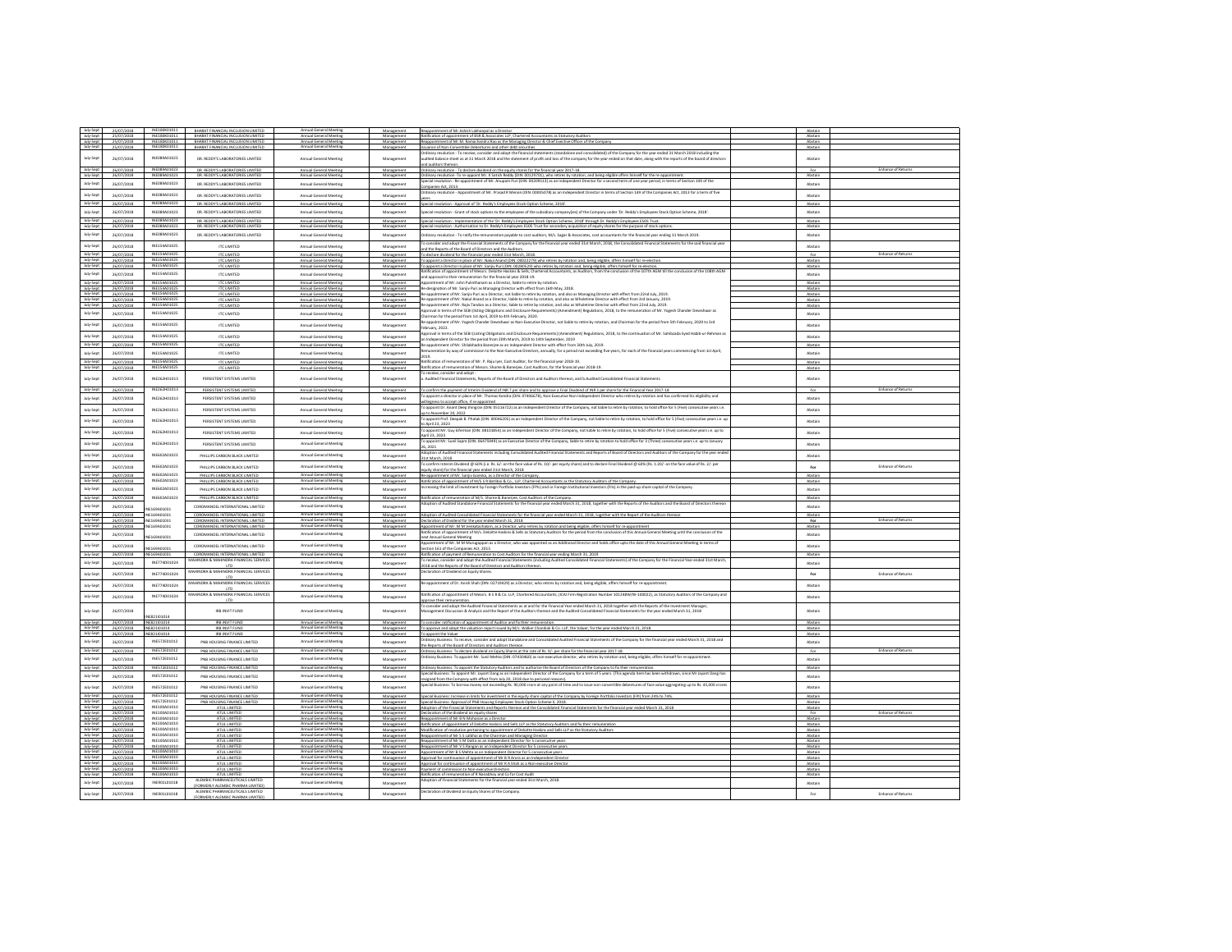| July-Sept                           | 25/07/2018               | INF180001011                 | BHARAT FINANCIAL INCLUSION LIMITED                                       | Annual General Meeting                           | Manazement               | Reappointment of Mr.Ashish Lakhanpal as a Director                                                                                                                                                                                                                                                                          | Abstain            |                           |
|-------------------------------------|--------------------------|------------------------------|--------------------------------------------------------------------------|--------------------------------------------------|--------------------------|-----------------------------------------------------------------------------------------------------------------------------------------------------------------------------------------------------------------------------------------------------------------------------------------------------------------------------|--------------------|---------------------------|
| July-Sept<br>July-Sept              | 25/07/2018<br>25/07/2018 | INE180K01011<br>INF18001011  | BHARAT FINANCIAL INCLUSION LIMITED<br>BHARAT FINANCIAL INCLUSION LIMITED | Annual General Meeting                           | Management<br>Management | Ratification of appointment of BSR & Associates LLP. Chartered Accountants as Statutory Auditors<br>Reappointment of Mr.M. Ramachandra Rao as the Managing Director & Chief Exective Officer of the Compan                                                                                                                  | Abstain<br>Abstair |                           |
| July-Sept                           | 25/07/2018               | INE180K01011                 | BHARAT FINANCIAL INCLUSION LIMITED                                       | Annual General Meeting                           | Management               | Issuance of Non-Convertible Debentures and other debt securities                                                                                                                                                                                                                                                            | Abstain            |                           |
|                                     |                          |                              |                                                                          |                                                  |                          | and adopt the financial statements (standalone and consolidated) of the Company for the year ended 31 March 2018 including t                                                                                                                                                                                                |                    |                           |
| July-Sept                           | 26/07/2018               | INE089A01023                 | DR. REDDY'S LARORATORIES LIMITED.                                        | Annual General Meeting                           | Management               | udited balance sheet as at 31 March 2018 and the statement of profit and loss of the company for the year ended on that date, along with the reports of the board of director:                                                                                                                                              | Abstain            |                           |
| July-Sept                           | 26/07/2018               | INE089A01023                 | DR. REDDY'S LABORATORIES LIMITED                                         | Annual General Meeting                           | Management               | nd auditors thereon.<br>Ordinary resolution - To declare dividend on the equity shares for the financial year 2017-18.                                                                                                                                                                                                      | For                |                           |
| July-Sept                           | 26/07/2018               | INFORRAD1023                 | DR. REDDY'S LABORATORIES LIMITED                                         | Annual General Meeting                           | Management               | Irdinary resolution -To re-appoint Mr. K Satish Reddy (DIN: 00129701), who retires by rotation, and being eligible offers himself for the re-appointmen                                                                                                                                                                     | Abstair            |                           |
| July-Sept                           | 26/07/2018               | INE089A01023                 | DR. REDDY'S LABORATORIES LIMITED                                         | Annual General Meeting                           | Management               | pecial resolution - Re-appointment of Mr. Anupam Puri (DIN: 00209113) as an independent Director for a second term of one year period. in terms of Section 149 of the                                                                                                                                                       | Abstain            |                           |
|                                     |                          |                              |                                                                          |                                                  |                          | mpanies Act, 2013.                                                                                                                                                                                                                                                                                                          |                    |                           |
| July-Sept                           | 26/07/2018               | INE089A01023                 | DR. REDDY'S LARORATORIES LIMITED.                                        | Annual General Meeting                           | Management               | Ordinary resolution - Appointment of Mr. Prasad R Menon (DIN: 00005078) as an Independent Director in terms of Section 149 of the Companies Act. 2013 for a term of five                                                                                                                                                    | Abstain            |                           |
| July-Sept                           | 26/07/2018               | INE089A01023                 | DR. REDDY'S LABORATORIES LIMITED                                         | Annual General Meeting                           | Management               | Special resolution - Approval of "Dr. Reddy's Employees Stock Option Scheme, 2018".                                                                                                                                                                                                                                         | Abstain            |                           |
| July-Sept                           | 26/07/2018               | INE089A01023                 | DR. REDDY'S LABORATORIES LIMITED                                         | Annual General Meeting                           | Management               | pecial resolution - Grant of stock options to the employees of the subsidiary company(ies) of the Company under 'Dr. Reddy's Employees Stock Option Scheme, 2018'.                                                                                                                                                          | Abstain            |                           |
|                                     |                          | INFORMAD1023                 |                                                                          |                                                  |                          |                                                                                                                                                                                                                                                                                                                             |                    |                           |
| July-Sept<br>July-Sept              | 26/07/2018<br>26/07/2018 | INE089A01023                 | DR. REDDY'S LABORATORIES LIMITED<br>DR. REDDY'S LABORATORIES LIMITED     | Annual General Meeting<br>Annual General Meeting | Manazement<br>Manazement | Special resolution - Implementation of the 'Dr. Reddy's Employees Stock Option Scheme. 2018' through Dr. Reddy's Employees ESOS Trust<br>Special resolution - Authorisation to Dr. Reddy's Employees ESOS Trust for secondary acquisition of equity shares for the purpose of stock optic                                   | Abstain<br>Abstain |                           |
| July-Sept                           |                          | INE089A01023                 |                                                                          |                                                  |                          |                                                                                                                                                                                                                                                                                                                             |                    |                           |
|                                     | 26/07/2018               |                              | DR. REDDY'S LABORATORIES LIMITED                                         | Annual General Meeting                           | Management               | Ordinary resolution - To ratify the remuneration payable to cost auditors, M/s. Sagar & Associates, cost accountants for the financial year ending 31 March 2019.                                                                                                                                                           | Abstain            |                           |
| July-Sept                           | 26/07/2018               | INE154A01025                 | <b>ITC LIMITED</b>                                                       | Annual General Meeting                           | Management               | consider and adopt the Financial Statements of the Company for the financial year ended 31st March, 2018, the Consolidated Financial Statements for the said financial year                                                                                                                                                 | Abstain            |                           |
| July-Sept                           | 26/07/2018               | INE154A01025                 | <b>ITC LIMITED</b>                                                       | Annual General Meeting                           | Management               | ind the Reports of the Board of Directors and the Auditors.<br>To declare dividend for the financial year ended 31st March, 2018.                                                                                                                                                                                           | For                | Enhance of Ret            |
| July-Sept                           | 26/07/2018               | INE154A01025                 | <b>ITC LIMITED</b>                                                       | Annual General Meeting                           | Manazement               | To appoint a Director in place of Mr. Nakul Anand (DIN: 00022279) who retires by rotation and, being eligible, offers himself for re-election                                                                                                                                                                               | Abstain            |                           |
|                                     | 26/07/2018               | INF154401025                 | <b>ITC LIMITED</b>                                                       | Annual General Meeting                           | Management               | To appoint a Director in place of Mr. Sanjiv Puri (DIN: 00280529) who retires by rotation and, being eligible, offers himself for re-electio                                                                                                                                                                                | Abstair            |                           |
| July-Sept                           | 26/07/2018               | INE154A01025                 | ITC UMITED                                                               | Annual General Meeting                           | Management               | latification of appointment of Messrs, Deloitte Haskins & Sells, Chartered Accountants, as Auditors, from the conclusion of the 107th AGM till the conclusion of the 108th AGM                                                                                                                                              | Abstain            |                           |
| July-Sept                           | 26/07/2018               | INE154A01025                 | <b>ITC LIMITED</b>                                                       | Annual General Meeting                           | Management               | nd approval to their remuneration for the financial year 2018-19.<br>lopointment of Mr. John Pulinthanam as a Director. liable to retire by rotation                                                                                                                                                                        | Abstain            |                           |
| July-Sept                           | 26/07/2018               | INE154A01025                 | <b>ITC LIMITED</b>                                                       | Annual General Meeting                           | Management               | e-designation of Mr. Sanjiv Puri as Managing Director with effect from 16th May, 2018.                                                                                                                                                                                                                                      | Abstain            |                           |
| July-Sept                           | 26/07/2018               | INE154A01025                 | ITC LIMITED                                                              | Annual General Meeting                           | Management               | Re-appointment of Mr. Sanjiv Puri as a Director, not liable to retire by rotation, and also as Managing Director with effect from 22nd July, 2019.                                                                                                                                                                          | Abstain            |                           |
| July-Sept                           | 26/07/2018               | INF154401025                 | <b>ITC LIMITED</b>                                                       | Annual General Meeting                           | Management               | Re-appointment of Mr. Nakul Anand as a Director, liable to retire by rotation, and also as Wholetime Director with effect from 3rd January, 2019.<br>Re-appointment of Mr. Rajiv Tandon as a Director, liable to retire by rotati                                                                                           | Abstain            |                           |
| July-Sept                           | 26/07/2018               | INE154A01025                 | ITC LIMITED                                                              | Annual General Meeting                           | Manazement               | pproval in terms of the SEBI (listing Obligations and Disclosure Requirements) (Amendment) Regulations, 2018, to the remuneration of Mr. Yogesh Chander Deveshwar as                                                                                                                                                        | Abstain            |                           |
| July-Sept                           | 26/07/2018               | INE154A01025                 | ITC LIMITED                                                              | Annual General Meeting                           | Management               | hairman for the period from 1st April, 2019 to 4th February, 2020.                                                                                                                                                                                                                                                          | Abstain            |                           |
| July-Sept                           | 26/07/2018               | INE154A01025                 | ITC LIMITED                                                              | Annual General Meeting                           | Management               | -appointment of Mr. Yogesh Chander Deveshwar as Non-Executive Director, not liable to retire by rotation, and Chairman for the period from 5th February, 2020 to 3rd                                                                                                                                                        | Abstain            |                           |
|                                     |                          |                              |                                                                          |                                                  |                          | ebruary, 2022.<br>pproval in terms of the SEBI (Listing Obligations and Disclosure Requirements) (Amendment) Regulations, 2018, to the continuation of Mr. Sahibzada Syed Habib-ur-Rehman a                                                                                                                                 |                    |                           |
| July-Sept                           | 26/07/2018               | INE154A01025                 | ITC LIMITED                                                              | Annual General Meeting                           | Management               | independent Director for the period from 20th March, 2019 to 14th September, 2019                                                                                                                                                                                                                                           | Abstain            |                           |
| July-Sept                           | 26/07/2018               | INE154A01025                 | <b>ITC LIMITED</b>                                                       | Annual General Meeting                           | Management               | appointment of Mr. Shilabhadra Banerjee as an Independent Director with effect from 30th July, 2019.                                                                                                                                                                                                                        | Abstair            |                           |
| July-Sept                           | 26/07/2018               | INF154401025                 | ITC UMITED                                                               | Annual General Meeting                           | Management               | emuneration by way of commission to the Non-Executive Directors, annually, for a period not exceeding five years, for each of the financial years commencing from 1st April.                                                                                                                                                | Abstain            |                           |
| July-Sept                           |                          | INE154A01025                 | ITC LIMITED                                                              |                                                  |                          | Ratification of remuneration of Mr. P. Raju Iyer, Cost Auditor, for the financial year 2018-19.                                                                                                                                                                                                                             | Abstain            |                           |
| July-Sept                           | 26/07/2018<br>26/07/2018 | INE154A01025                 | <b>ITC LIMITED</b>                                                       | Annual General Meeting<br>Annual General Meeting | Management<br>Management | Ratification of remuneration of Messrs. Shome & Banerjee, Cost Auditors, for the financial year 2018-19                                                                                                                                                                                                                     | Abstain            |                           |
|                                     |                          |                              |                                                                          |                                                  |                          | o receive, consider and adopt :                                                                                                                                                                                                                                                                                             |                    |                           |
| July-Sept                           | 26/07/2018               | INE262H01013                 | PERSISTENT SYSTEMS LIMITED                                               | Annual General Meeting                           | Management               | Audited Financial Statements, Reports of the Board of Directors and Auditors thereon, and b.Audited Consolidated Financial Statements                                                                                                                                                                                       | Abstain            |                           |
| July-Sept                           |                          | INF262H01013                 |                                                                          |                                                  |                          |                                                                                                                                                                                                                                                                                                                             |                    |                           |
|                                     | 26/07/2018               |                              | PERSISTENT SYSTEMS                                                       | Annual General Meetin                            | Managemen                | To confirm the payment of interim Dividend of INR 7 per share and to approve a Final Dividend of INR 3 per share for the Financial Year 2017-18<br>o appoint a director in place of Mr. Thomas Kendra (DIN: 07406678), Non-Executive Non-Independent Director who retires by rotation and has confirmed his eligibility and |                    |                           |
| July-Sept                           | 26/07/2018               | INE262H01013                 | PERSISTENT SYSTEMS LIMITED                                               | Annual General Meeting                           | Management               | lingness to accept office, if re-appointed                                                                                                                                                                                                                                                                                  | Abstair            |                           |
| July-Sept                           | 26/07/2018               | INE262H01013                 | PERSISTENT SYSTEMS LIMITED                                               | Annual General Meeting                           | Management               | appoint Dr. Anant Deep Jhingran (DIN: 05116722) as an Independent Director of the Company, not liable to retire by rotation, to hold office for 5 (Five) consecutive years i.e.                                                                                                                                             | Abstain            |                           |
|                                     |                          |                              |                                                                          |                                                  |                          | p to November 20, 2022                                                                                                                                                                                                                                                                                                      |                    |                           |
| July-Sept                           | 26/07/2018               | INF262H01013                 | PERSISTENT SYSTEMS LIMITED                                               | Annual General Meeting                           | Management               | o appoint Prof. Deepak B. Phatak (DIN: 00046205) as an independent Director of the Company, not liable to retire by rotation, to hold office for 5 (Five) consecutive years i.e. up<br>o April 23, 2023                                                                                                                     | Abstair            |                           |
| July-Sept                           | 26/07/2018               | INE262H01013                 | PERSISTENT SYSTEMS LIMITED                                               |                                                  |                          | ent Mr. Guy Elferman (DIN: 08101854) as an Independent Director of the Company, not liable to retire by rotation, to hold office for 5 (Five) consecutive years i.e. up to                                                                                                                                                  |                    |                           |
|                                     |                          |                              |                                                                          | Annual General Meeting                           | Management               | oril 23, 2023                                                                                                                                                                                                                                                                                                               | Abstain            |                           |
| July-Sept                           | 26/07/2018               | INE262H01013                 | PERSISTENT SYSTEMS LIMITED                                               | Annual General Meeting                           | Management               | p appoint Mr. Sunil Sapre (DIN: 06475949) as an Executive Director of the Company, liable to retire by rotation to hold office for 3 (Three) consecutive years i.e. up to January                                                                                                                                           | Abstain            |                           |
|                                     |                          |                              |                                                                          |                                                  |                          | 6.2021<br>option of Audited Financial Statements including Consolidated Audited Financial Statements and Reports of Board of Directors and Auditors of the Company for the year ende                                                                                                                                        |                    |                           |
| July-Sept                           | 26/07/2018               | INE602A01023                 | PHILLIPS CARBON BLACK LIMITED                                            | Annual General Meeting                           | Management               | 31st March, 2018                                                                                                                                                                                                                                                                                                            | Abstain            |                           |
| July-Sept                           | 26/07/2018               | INE602A01023                 | PHILLIPS CARBON BLACK LIMITED                                            | Annual General Meeting                           | Management               | confirm Interim Dividend @ 60% (i.e. Rs. 6/- on the face value of Rs. 10/- per equity share) and to declare Final Dividend @ 60% (Rs. 1.20/- on the face value of Rs. 2/- per                                                                                                                                               | For                | <b>Enhance of Returns</b> |
|                                     |                          | INF602401023                 |                                                                          | <b>Annual General Meeting</b>                    |                          | uity share) for the financial year ended 31st March, 2018                                                                                                                                                                                                                                                                   |                    |                           |
| July-Sept<br>July-Sept              | 26/07/2018<br>26/07/2018 | INE602A01023                 | PHILLIPS CARBON BLACK LIMITED<br>PHILLIPS CARBON BLACK LIMITED           | Annual General Meeting                           | Manazement<br>Manazement | Re-appointment of Mr. Saniiv Goenka, as a Director of the Company<br>Ratification of appointment of M/S.S R Batliboi & Co., LLP, Chartered Accountants as the Statutory Auditors of the Company.                                                                                                                            | Abstain<br>Abstain |                           |
|                                     |                          | INE602A01023                 |                                                                          |                                                  |                          | creasing the limit of investment by Foreign Portfolio Investors (FPIs) and or Foreign Institutional Investors (FIIs) in the paid-up share capital of the Company                                                                                                                                                            |                    |                           |
| July-Sept                           | 26/07/2018               |                              | PHILLIPS CARBON BLACK LIMITED                                            | Annual General Meeting                           | Management               |                                                                                                                                                                                                                                                                                                                             | Abstain            |                           |
| July-Sept                           | 26/07/2018               | INE602A01023                 | PHILLIPS CARBON BLACK LIMITED                                            | ual General Meeting                              | Management               | atification of remuneration of M/S. Shome & Banerjee, Cost Auditors of the Company.                                                                                                                                                                                                                                         | Abstair            |                           |
| July-Sept                           | 26/07/2018               | F169401031                   | COROMANDEL INTERNATIONAL LIMITED                                         | Annual General Meeting                           | Management               | dootion of Audited Standalone Financial Statements for the financial year ended March 31, 2018, together with the Reports of the Auditors and the Board of Directors thereor                                                                                                                                                | Abstain            |                           |
| July-Sept                           | 26/07/2018               | INE169A01031                 | COROMANDEL INTERNATIONAL LIMITED                                         | Annual General Meeting                           | Management               | Adoption of Audited Consolidated Financial Statements for the financial year ended March 31, 2018, together with the Report of the Auditors thereor                                                                                                                                                                         | Abstain            |                           |
| July-Sept                           | 26/07/2018               | INF169401031                 | COROMANDEL INTERNATIONAL LIMITED                                         |                                                  | Management               | Declaration of Dividend for the year ended March 31, 2018                                                                                                                                                                                                                                                                   | For                |                           |
| July-Sept                           | 26/07/2018               | NE169A01031                  | COROMANDEL INTERNATIONAL LIMITED                                         | Annual General Meeting                           | Management               | Appointment of Mr. M M Venkatachalam, as a Director, who retires by rotation and being eligible, offers himself for re-appointment                                                                                                                                                                                          | Abstain            |                           |
| July-Sept                           | 26/07/2018               | E169A01031                   | COROMANDEL INTERNATIONAL LIMITED                                         | Annual General Meeting                           | Management               | nt of M/s. Deloitte Haskins & Sells as Statutory Auditors for the period from the conclusion of this Annual General Meeting until the conclusion of the<br>ext Annual General Meeting                                                                                                                                       | Abstain            |                           |
| July-Sept                           | 26/07/2018               |                              | COROMANDEL INTERNATIONAL LIMITED                                         | Annual General Meeting                           |                          | bintment of Mr. M M Murugappan as a Director, who was appointed as an Additional Director and holds office upto the date of this Annual General Meeting in terms of                                                                                                                                                         |                    |                           |
|                                     |                          | E169A01031                   |                                                                          |                                                  | Management               | ection 161 of the Companies Act. 2013                                                                                                                                                                                                                                                                                       | Abstain            |                           |
| July-Sept                           | 26/07/2018               | E169A0103                    | COROMANDEL INTERNATIONAL LIMITED                                         | Annual General Meeting                           | Management               | atification of payment of Remuneration to Cost Auditors for the financial year ending March 31, 2019                                                                                                                                                                                                                        | Abstai             |                           |
| July-Sept                           | 26/07/2018               | INE774D01024                 | AAHINDRA & MAHINDRA FINANCIAL SERVICES<br>LTD                            | Annual General Meeting                           | Management               | o receive, consider and adopt the Audited Financial Statements (including Audited Consolidated Financial Statements) of the Company for the Financial Year ended 31st March,<br>2018 and the Reports of the Board of Directors and Auditors thereon.                                                                        | Abstain            |                           |
| July-Sept                           | 26/07/2018               | INE774D01024                 | MAHINDRA & MAHINDRA FINANCIAL SERVICES                                   | Annual General Meeting                           | Management               | eclaration of Dividend on Equity Shares.                                                                                                                                                                                                                                                                                    | $F_{00}$           | <b>Enhance of Returns</b> |
|                                     |                          |                              |                                                                          |                                                  |                          |                                                                                                                                                                                                                                                                                                                             |                    |                           |
| July-Sept                           | 26/07/2018               | INE774D01024                 | MAHINDRA & MAHINDRA FINANCIAL SERVICES                                   | Annual General Meeting                           | Management               | le-appointment of Dr. Anish Shah (DIN: 02719429) as a Director, who retires by rotation and, being eligible, offers himself for re-appointment.                                                                                                                                                                             | Abstain            |                           |
| July-Sept                           |                          |                              | LTD<br>MAHINDRA & MAHINDRA FINANCIAL SERVICES                            |                                                  |                          | latification of appointment of Messrs. B S R & Co. LLP, Chartered Accountants, (ICAI Firm Registration Number 101248W/W-100022), as Statutory Auditors of the Company and                                                                                                                                                   |                    |                           |
|                                     | 26/07/2018               | INE774D01024                 | LTD                                                                      | Annual General Meeting                           | Management               | pprove their remuneration.                                                                                                                                                                                                                                                                                                  | Abstain            |                           |
|                                     |                          |                              |                                                                          |                                                  |                          | o consider and adopt the Audited Financial Statements as at and for the Financial Year ended March 31, 2018 together with the Reports of the Investment Manager                                                                                                                                                             |                    |                           |
| July-Sept                           | 26/07/2018               | (E821/01014                  | IRB INVIT FUND                                                           | Annual General Meeting                           | Management               | fanagement Discussion & Analysis and the Report of the Auditors thereon and the Audited Consolidated Financial Statements for the year ended March 31, 2018                                                                                                                                                                 | Abstain            |                           |
| July-Sept                           | 26/07/2018               | INE821/01014                 | IRB INVIT FUND                                                           | Annual General Meeting                           | Management               | To consider ratification of appointment of Auditor and fix their remuneration                                                                                                                                                                                                                                               | Abstain            |                           |
| July-Sept                           | 26/07/2018               | INE821/01014                 | <b>IRR INVIT FLIND</b>                                                   | Annual General Meeting                           | Manazement               | To approve and adopt the valuation report issued by M/s. Walker Chandiok & Co. LLP, the Valuer, for the year ended March 31, 2018.                                                                                                                                                                                          | Abstain            |                           |
| July-Sept                           | 26/07/2018               | E821/01014                   | IRB INVIT FUN                                                            |                                                  | Management               | To appoint the Valuer<br>Ordinary Business: To receive, consider and adopt Standalone and Consolidated Audited Financial Statements of the Company for the financial year ended March 31, 2018 and                                                                                                                          | Abstair            |                           |
| July-Sept                           | 26/07/2018               | INE572E01012                 | PNB HOUSING FINANCE LIMITED                                              | Annual General Meeting                           | Management               | he Reports of the Board of Directors and Auditors thereon.                                                                                                                                                                                                                                                                  | Abstair            |                           |
| July-Sept                           | 26/07/2018               | INE572E01012                 | <b>GND WALKING CINAMIC LIMITED</b>                                       | Annual General Meeting                           | <b>Management</b>        | Ordinary Business: To declare dividend on Equity Shares at the rate of Rs. 9/- per share for the financial year 2017-18.<br>Ordinary Business: To appoint Mr. Sunil Mehta (DIN: 07430460) as non-executive director, who retires                                                                                            | 500                | Enhance of Returns        |
| July-Sept                           | 26/07/2018               | INE572E01012                 | PNB HOUSING FINANCE LIMITED                                              | Annual General Meeting                           | Management               |                                                                                                                                                                                                                                                                                                                             | Abstain            |                           |
| July-Sept                           | 26/07/2018               | INE572E01012                 | PNB HOUSING FINANCE LIMITED                                              | Annual General Meeting                           | Manazement               | Ordinary Business: To appoint the Statutory Auditors and to authorise the Board of Directors of the Company to fix their remuneration                                                                                                                                                                                       | Abstain            |                           |
| July-Sept                           |                          | INE572E01012                 | PNB HOUSING FINANCE LIMITED                                              | Annual General Meeting                           |                          | vess: To appoint Mr. Jayant Dang as an Independent Director of the Company for a term of 5 years. (This agenda item has been withdrawn, since Mr Jayant Dang has                                                                                                                                                            | Abstain            |                           |
|                                     |                          |                              |                                                                          |                                                  | Management               | resigned from the Company with effect from July 20, 2018 due to personal reasons).                                                                                                                                                                                                                                          |                    |                           |
| July-Sept                           | 26/07/2018               |                              |                                                                          |                                                  |                          |                                                                                                                                                                                                                                                                                                                             |                    |                           |
| July-Sept                           | 26/07/2018               | INE572E01012                 | PNB HOUSING FINANCE LIMITED                                              | Annual General Meeting                           | Managemen                | pecial Business: To borrow money not exceeding Rs. 90,000 crore at any point of time and to issue non-convertible debentures of face value aggregating up to Rs. 45,000 crore                                                                                                                                               | Abstair            |                           |
|                                     |                          | INFS72F01012                 | PNB HOUSING FINANCE LIMITED                                              | Annual General Meeting                           |                          |                                                                                                                                                                                                                                                                                                                             |                    |                           |
| July-Sept                           | 26/07/2018<br>26/07/2018 | INE572E01012                 | PNB HOUSING FINANCE LIMITED                                              | Annual General Meeting                           | Management<br>Manazement | Special Business: Increase in limits for investment in the equity share capital of the Company by Foreign Portfolio Investors (FPI) from 24% to 74%.<br>Special Business: Approval of PNB Housing Employees Stock Option Scheme II. 2018.                                                                                   | Abstain<br>Abstain |                           |
|                                     | 26/07/2018               | INE100A01010                 |                                                                          | Annual General Meetin                            | Manager                  | potion of the Financial Statements and Reports thereon and the Consolidated Financial Statements for the financial year ended March 31, 2018                                                                                                                                                                                |                    |                           |
| July-Sept<br>July-Sept              | 26/07/2018               | INE100A01010                 | ATUL LIMITED                                                             |                                                  | Management               | Declaration of the dividend on equity shares                                                                                                                                                                                                                                                                                | For                |                           |
|                                     | 26/07/2018               | INE100A01010<br>INF100401010 | ATUL LIMITED<br>ATUL LIMITED                                             | Annual General Meeting                           | Manazement               | Reappointment of Mr B N Mohanan as a Director                                                                                                                                                                                                                                                                               | Abstain<br>Abstain |                           |
| July-Sept<br>July-Sept<br>July-Sept | 26/07/2018<br>26/07/2018 | INE100A01010                 | ATLIL LIMITED                                                            | Annual General Meeting                           | Management<br>Manazement | Ratification of appointment of Deloitte Haskins and Sells LLP as the Statutory Auditors and fix their remuneration<br>Modification of resolution pertaining to appointment of Deloitte Haskins and Sells LLP as the Statutory Auditors                                                                                      | Abstain            |                           |
| July-Sept                           | 26/07/2018               | INE100A01010                 | ATUL LIMITED                                                             | Annual General Meeting                           | Manazement               | pointment of Mr S S Lalbhai as the Chairman and Managing Directo                                                                                                                                                                                                                                                            | Abstain            |                           |
| July-Sept                           | 26/07/2018               | INE100A01010<br>INF100401010 | ATUL LIMITED                                                             | Annual General Meeting                           | Management               | Reappointment of Mr S M Datta as an Independent Director for 5 consecutive years                                                                                                                                                                                                                                            | Abstain            |                           |
| July-Sept                           | 26/07/2018<br>26/07/2018 | INE100A01010                 | ATUL LIMITED<br>ATUL LIMITED                                             | Annual G<br>Annual General Meeting               | Manazement<br>Management | Reappointment of Mr V S Rangan as an Independent Director for S consecutive years<br>Appointment of Mr B S Mehta as an Independent Director for 5 consecutive year:                                                                                                                                                         | Abstain<br>Abstain |                           |
| July-Sept                           | 26/07/2018               | INE100A01010                 | ATUL LIMITED                                                             |                                                  | Manazement               | Approval for continuance of appointment of Mr B R Arora as an Independent Director                                                                                                                                                                                                                                          | Abstain            |                           |
| July-Sept                           | 26/07/2018               | INE100A01010<br>INF100401010 | ATUL LIMITED                                                             | Annual General Meeting                           | Management               | Approval for continuance of appointment of Mr R A Shah as a Non-executive Director                                                                                                                                                                                                                                          | Abstain            |                           |
| July-Sept<br>July-Sept              | 26/07/2018<br>26/07/2018 | INE100A01010                 | ATUL LIMITED<br>ATUL LIMITED                                             | Annual General Meeting                           | Management               | Payment of commission to Non-executive Director                                                                                                                                                                                                                                                                             | Abstair<br>Abstain |                           |
|                                     |                          | INE901L01018                 | ALEMBIC PHARMACEUTICALS LIMITED                                          |                                                  | Manazement               | Ratification of remuneration of R Nanabhov and Co for Cost Audit<br>of Financial Statements for the financial year ended 31st March, 2018.                                                                                                                                                                                  |                    |                           |
| July-Sept                           | 26/07/2018               |                              | (FORMERLY ALEMBIC PHARMA LIMITED)                                        | Annual General Meeting                           | Management               |                                                                                                                                                                                                                                                                                                                             | Abstain            |                           |
| July-Sept                           | 26/07/2018               | INE901L01018                 | ALEMBIC PHARMACEUTICALS LIMITED<br>(FORMERLY ALEMBIC PHARMA LIMITED)     | Annual General Meeting                           | Management               | eclaration of dividend on Equity Shares of the Company                                                                                                                                                                                                                                                                      | For                | Enhance of Returns        |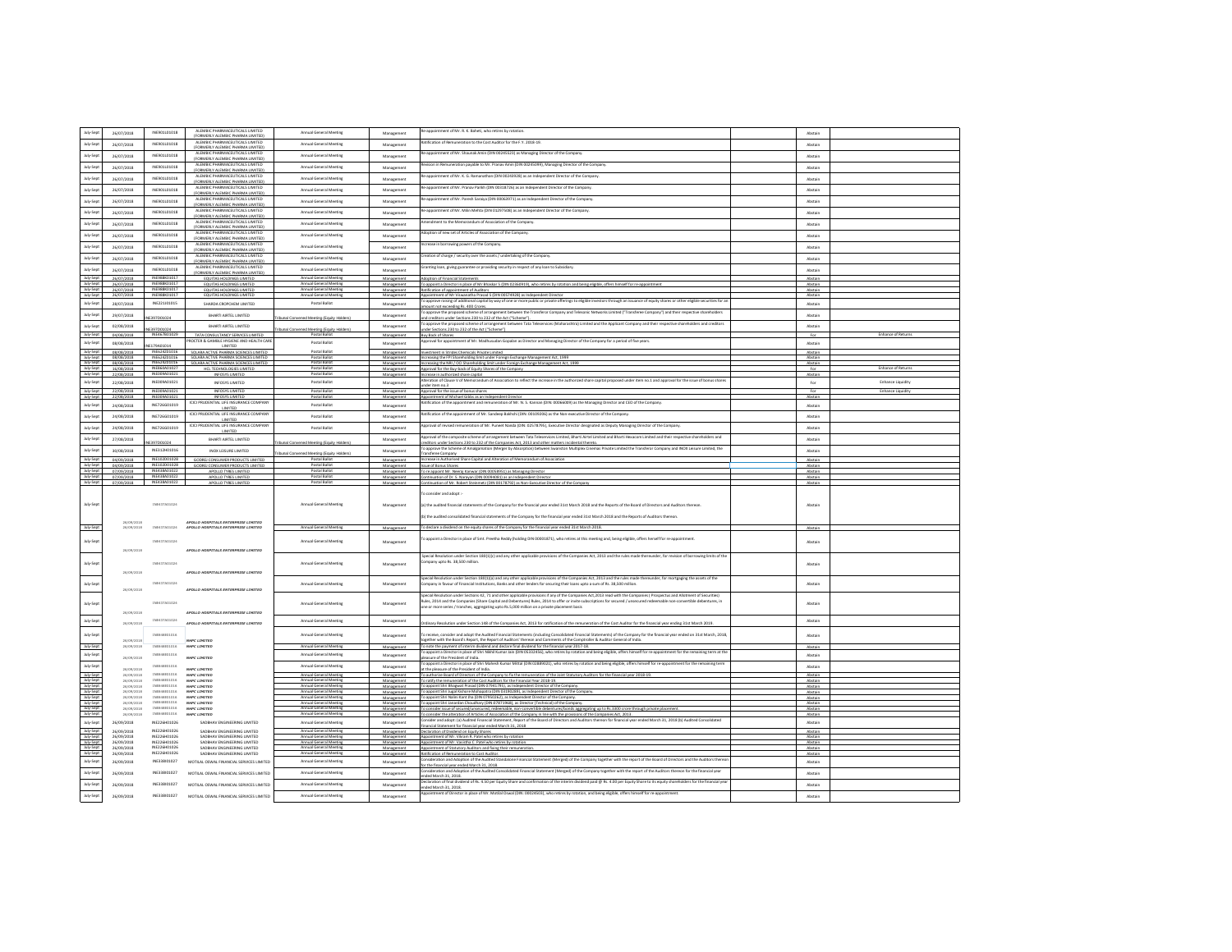| July-Sept              | 26/07/2018               | INE901L01018                 | ALEMBIC PHARMACEUTICALS LIMITED                                                | Annual General Meeting                           | Management                                            | Re-appointment of Mr. R. K. Baheti, who retires by rotation                                                                                                                                                                                                                                             | Abstain            |                           |
|------------------------|--------------------------|------------------------------|--------------------------------------------------------------------------------|--------------------------------------------------|-------------------------------------------------------|---------------------------------------------------------------------------------------------------------------------------------------------------------------------------------------------------------------------------------------------------------------------------------------------------------|--------------------|---------------------------|
| July-Sept              | 26/07/2018               | INE901L01018                 | <b>IFORMERLY ALEMBIC PHARMA LIMITED</b><br>ALEMBIC PHARMACEUTICALS LIMITED     | Annual General Meeting                           | Management                                            | tification of Remuneration to the Cost Auditor for the F.Y. 2018-19.                                                                                                                                                                                                                                    | Abstair            |                           |
|                        |                          |                              | (FORMERLY ALEMBIC PHARMA LIMITED)<br>ALEMBIC PHARMACEUTICALS LIMITED           |                                                  |                                                       | Re-appointment of Mr. Shaunak Amin (DIN 00245523) as Managing Director of the Company.                                                                                                                                                                                                                  |                    |                           |
| July-Sept              | 26/07/2018               | INE901L01018                 | (FORMERLY ALEMBIC PHARMA LIMITED)                                              | Annual General Meeting                           | Management                                            |                                                                                                                                                                                                                                                                                                         | Abstain            |                           |
| July-Sept              | 26/07/2018               | INE901L01018                 | ALEMBIC PHARMACEUTICALS LIMITED<br>(FORMERLY ALEMBIC PHARMA LIMITED)           | Annual General Meeting                           | Management                                            | wision in Remuneration payable to Mr. Pranav Amin (DIN 00245099), Managing Director of the Company.                                                                                                                                                                                                     | Abstain            |                           |
| July-Sept              | 26/07/2018               | INE901L01018                 | ALEMBIC PHARMACEUTICALS LIMITED                                                | Annual General Meeting                           | Management                                            | Re-appointment of Mr. K. G. Ramanathan (DIN 00243928) as an independent Director of the Company                                                                                                                                                                                                         | Abstain            |                           |
| July-Sept              | 26/07/2018               | INE901L01018                 | (FORMERLY ALEMBIC PHARMA LIMITED)<br>ALEMBIC PHARMACEUTICALS LIMITED           | Annual General Meeting                           | Management                                            | le-appointment of Mr. Pranay Parikh (DIN 00318726) as an Independent Director of the Company.                                                                                                                                                                                                           | Abstain            |                           |
|                        |                          |                              | FORMERLY ALEMBIC PHARMA LIMITED<br>ALEMBIC PHARMACEUTICALS LIMITED             |                                                  |                                                       | Re-appointment of Mr. Paresh Saraiya (DIN 00063971) as an independent Director of the Company.                                                                                                                                                                                                          |                    |                           |
| July-Sept              | 26/07/2018               | INE901L01018                 | (FORMERLY ALEMBIC PHARMA LIMITED)                                              | Annual General Meeting                           | Management                                            |                                                                                                                                                                                                                                                                                                         | Abstain            |                           |
| July-Sept              | 26/07/2018               | INE901L01018                 | ALEMBIC PHARMACEUTICALS LIMITED<br>FORMERLY ALEMBIC PHARMA LIMITED             | Annual General Meeting                           | Management                                            | Re-appointment of Mr. Milin Mehta (DIN 01297508) as an Independent Director of the Company.                                                                                                                                                                                                             | Abstain            |                           |
| July-Sept              | 26/07/2018               | INE901L01018                 | ALEMBIC PHARMACEUTICALS LIMITED                                                | Annual General Meeting                           | Management                                            | Imendment to the Memorandum of Association of the Company.                                                                                                                                                                                                                                              | Abstain            |                           |
| July-Sept              | 26/07/2018               | INE901L01018                 | (FORMERLY ALEMBIC PHARMA LIMITED)<br>ALEMBIC PHARMACEUTICALS LIMITED           | Annual General Meeting                           | Management                                            | Adoption of new set of Articles of Association of the Company.                                                                                                                                                                                                                                          | Abstain            |                           |
|                        |                          |                              | FORMERLY ALEMBIC PHARMA LIMITED<br>ALEMBIC PHARMACEUTICALS LIMITED             |                                                  |                                                       | ncrease in borrowing powers of the Company.                                                                                                                                                                                                                                                             |                    |                           |
| July-Sept              | 26/07/2018               | INE901L01018                 | (FORMERLY ALEMBIC PHARMA LIMITED)                                              | Annual General Meeting                           | Management                                            |                                                                                                                                                                                                                                                                                                         | Abstain            |                           |
| <b>July Spot</b>       | 26/07/2018               | INF901L01018                 | ALEMBIC PHARMACEUTICALS LIMITED<br>FORMERLY ALEMBIC PHARMA LIMITED             | Annual General Meeting                           | Manazemen                                             | Creation of charge / security over the assets / undertaking of the Company                                                                                                                                                                                                                              | Abctair            |                           |
| July-Sept              | 26/07/2018               | INE901L01018                 | ALEMBIC PHARMACEUTICALS LIMITED                                                | Annual General Meeting                           | Management                                            | Granting loan, giving guarantee or providing security in respect of any loan to Subsidiary.                                                                                                                                                                                                             | Abstain            |                           |
| July-Sept              | 26/07/2018               | INE988K01017                 | (FORMERLY ALEMBIC PHARMA LIMITED)<br>FOULTAS HOLDINGS LIMITED                  | Annual General Meeting                           | Management                                            | <b>Montion of Financial Statements</b>                                                                                                                                                                                                                                                                  | Abstain            |                           |
| July-Sept              | 26/07/2018               | INFRRRK01017                 | EQUITAS HOLDINGS LIMITED                                                       |                                                  | Managemen                                             | .<br>To appoint a Director in place of Mr Bhaskar S (DIN 02360919), who retires by rotation and being eligible, offers himself for re-appoint                                                                                                                                                           | Abstain            |                           |
| July-Sept<br>July-Sept | 26/07/2018<br>26/07/2018 | INE988K01017<br>INE988X01017 | EQUITAS HOLDINGS LIMITED<br>EQUITAS HOLDINGS LIMITED                           | Annual General Meeting<br>Annual General Meeting | Management<br>Manage                                  | Ratification of appointment of Auditors<br>ointment of Mr Viswanatha Prasad S (DIN 00574928) as Indec<br>Indent Director                                                                                                                                                                                | Abstain            |                           |
| July-Sept              | 28/07/2018               | INE221J01015                 | SHARDA CROPCHEM LIMITED                                                        | Postal Ballot                                    | Management                                            | To approve raising of additional capital by way of one or more public or private offerings to eliable investors through an issuance of equity shares or other eligible securities for an                                                                                                                | Abstain            |                           |
| July-Sept              | 29/07/2018               |                              | BHARTI AIRTEL LIMITED                                                          |                                                  | Management                                            | ount not exceeding Rs. 400 Crores.<br>o approve the proposed scheme of arrangement between the Transferor Company and Telesonic Networks Limited ("Transferee Company") and their respective shareholders                                                                                               | Abstain            |                           |
|                        |                          | 397001024                    |                                                                                | unal Convened Meeting (Equity Holders            |                                                       | nd creditors under Sections 230 to 232 of the Act ("Scheme").<br>To approve the proposed scheme of arrangement between Tata Teleservices (Maharashtra) Limited and the Applicant Company and their respective shareholders and creditors                                                                |                    |                           |
| July-Sept              | 02/08/2018               | 397001024                    | BHARTLAIRTELLIMITED                                                            | ibunal Convened Meeting (Equity Holders          | Management                                            | der Sections 230 to 232 of the Act ("Scheme")                                                                                                                                                                                                                                                           | Abstain            |                           |
| July-Sept<br>July-Sept | 04/08/2018               | INE467801029                 | TATA CONSULTANCY SERVICES LIMITED<br>OCTER & GAMBLE HYGIENE AND HEALTH CAR     | Postal Ballot<br>Postal Ballot                   | Management                                            | <b>Buy Back of Shares</b><br>pproval for appointment of Mr. Madhusudan Gopalan as Director and Managing Director of the Company for a period of five years                                                                                                                                              | For                | <b>Enhance of Returns</b> |
|                        | 08/08/2018               | E179401014                   | <b>LIMITED</b>                                                                 | Postal Ralin                                     | Management                                            |                                                                                                                                                                                                                                                                                                         | Abstain            |                           |
| July-Sept<br>July-Sept | 08/08/2018<br>08/08/2018 | INE624201016<br>INE624201016 | SOLARA ACTIVE PHARMA SCIENCES LIMITED<br>SOLARA ACTIVE PHARMA SCIENCES LIMITED | Postal Ballot                                    | Manazemen<br>Management                               | vestment in Strides Chemicals Private Limited<br>Increasing the FPI Shareholding limit under Foreign Exchange Management Act. 1999                                                                                                                                                                      | Abstain<br>Abstain |                           |
| July-Sept<br>July-Sept | 08/08/2018<br>16/08/2018 | INE624201016<br>INE860A01027 | SOLARA ACTIVE PHARMA SCIENCES LIMITED<br>HCL TECHNOLOGIES LIMITED              | Postal Ballot<br>Postal Ballot                   | Management<br>Management                              | creasing the NRI / OCI Shareholding limit under Foreign Exchange Management Act, 1999<br>Approval for the Buy-back of Equity Shares of the Company                                                                                                                                                      | Abstain            | Enhance of Returns        |
| July-Sept              | 22/08/2018               | INE009A01021                 | INFOSYS LIMITED                                                                | Postal Ballot                                    | Managemen                                             | crease in authorized share capital                                                                                                                                                                                                                                                                      | For<br>Abstair     |                           |
| July-Sept              | 22/08/2018               | INE009A01021                 | INFOSYS LIMITED                                                                | Postal Ballot                                    | Management                                            | Alteration of Clause V of Memorandum of Association to reflect the increase in the authorized share capital proposed under item no.1 and approval for the issue of bonus share<br>der item no.3                                                                                                         | $E_{0}$            | Enhance Liquidity         |
| July-Sept              | 22/08/2018               | INE009A01021                 | INFOSYS LIMITED                                                                | Postal Ballot                                    | Management                                            | Approval for the issue of bonus shares                                                                                                                                                                                                                                                                  | For                | Enhance Liquid?           |
| July-Sept<br>July-Sept | 22/08/2018               | INFODRAD1021<br>INE726G01019 | <b>NFOSYS LIMITED</b><br>ICICI PRIJDENTIAL LIFE INSURANCE COMPANY              | Postal Ballot<br>Postal Ballot                   | Manazeme                                              | pointment of Michael Gibbs as an Independent Directo<br>latification of the appointment and remuneration of Mr. N. S. Kannan (DIN: 00066009) as the Managing Director and CEO of the Company                                                                                                            | Abstai             |                           |
|                        | 24/08/2018               |                              | LIMITED                                                                        |                                                  | Management                                            |                                                                                                                                                                                                                                                                                                         | Abstain            |                           |
| July-Sept              | 24/08/2018               | INF726601019                 | ICICI PRIJDENTIAL LIFE INSURANCE COMPANY<br>LIMITED                            | Postal Ballot                                    | Management                                            | latification of the appointment of Mr. Sandeep Bakhshi (DIN: 00109206) as the Non-executive Director of the Company.                                                                                                                                                                                    | Abstain            |                           |
| July-Sept              | 24/08/2018               | INE726G01019                 | ICICI PRIJDENTIAL LIFE INSURANCE COMPANY<br>LIMITED                            | Postal Ballot                                    | Management                                            | Approval of revised remuneration of Mr. Puneet Nanda (DIN: 02578795). Executive Director designated as Deputy Managing Director of the Company                                                                                                                                                          | Abstain            |                           |
| July-Sept              | 27/08/2018               |                              | <b>BHARTLAIRTELLIMITED</b>                                                     |                                                  | Management                                            | Approval of the composite scheme of arrangement between Tata Teleservices Limited. Bharti Airtel Limited and Bharti Hexacom Limited and their respective shareholders and                                                                                                                               | Abstain            |                           |
|                        |                          | E397D01024                   |                                                                                | sunal Convened Meeting (Equity Holders)          |                                                       | editors under Sections 230 to 232 of the Companies Act, 2013 and other matters incidental thereto.<br>io approve the Scheme of Amalgamation (Merger by Absorption) between Swanston Multiplex Cinemas Private Limited the Transferor Company and INOX Leisure Limited, the                              |                    |                           |
| July-Sept              | 30/08/2018               | INE312H01016                 | INOX LEISURE LIMITED                                                           | unal Convened Meeting (Equity Holders            | Management                                            | ansferee Company                                                                                                                                                                                                                                                                                        | Abstain            |                           |
|                        |                          |                              |                                                                                | Postal Ballot                                    |                                                       | Increase in Authorised Share Capital and Alteration of Memorandum of Association                                                                                                                                                                                                                        | Abstain            |                           |
| July-Sept              | 04/09/2018               | INE102D01028                 | GODREJ CONSUMER PRODUCTS LIMITED                                               |                                                  | Manazement                                            |                                                                                                                                                                                                                                                                                                         |                    |                           |
| July-Sept<br>July-Sept | 04/09/2018<br>07/09/2018 | INE102D01028<br>INE438A01022 | GODREJ CONSUMER PRODUCTS LIMITED<br>MOLLO TYRES LIMITED                        | Postal Ballot<br>Postal Ballot                   | Management<br>Mana                                    | Issue of Bonus Shares<br>o re appoint Mr. Neerai Kanwar (DIN 00058951) as Managing Direc                                                                                                                                                                                                                | Abstain            |                           |
| July-Sept              | 07/09/2018               | INE438A01022                 | APOLLO TYRES LIMITED                                                           | Postal Ballot                                    | Management                                            | Continuation of Dr. S. Narayan (DIN 00094081) as an Independent Director                                                                                                                                                                                                                                | Abstain            |                           |
| July-Sept              |                          | 07/09/2018 INE438A01022      | APOLLO TYRES LIMITED                                                           | Postal Ballot                                    | Manazement                                            | Continuation of Mr. Robert Steinmetz (DIN 00178792) as Non-Executive Director of the Company                                                                                                                                                                                                            | Abstain            |                           |
|                        |                          |                              |                                                                                |                                                  |                                                       | honbs hes voltizers of                                                                                                                                                                                                                                                                                  |                    |                           |
| July-Sept              |                          | INE437A01024                 |                                                                                | Annual General Meeting                           | Management                                            | (a) the audited financial statements of the Company for the financial war ended 31st March 2018 and the Reports of the Board of Directors and Auditors thereon                                                                                                                                          | Abstair            |                           |
|                        |                          |                              |                                                                                |                                                  |                                                       | (b) the audited consolidated financial statements of the Company for the financial year ended 31st March 2018 and the Reports of Auditors thereon                                                                                                                                                       |                    |                           |
|                        | 26/09/2018               |                              | APOLLO HOSPITALS ENTERPRISE LIMITED                                            |                                                  |                                                       |                                                                                                                                                                                                                                                                                                         |                    |                           |
| July-Sept              |                          | 26/09/2018 INE437A01024      | APOLLO HOSPITALS ENTERPRISE LIMITED                                            | Annual General Meeting                           | Management                                            | To declare a dividend on the equity shares of the Company for the financial year ended 31st March 2018.                                                                                                                                                                                                 | Abstain            |                           |
| July-Sept              |                          | IND437A01024                 |                                                                                | Annual General Meeting                           | Management                                            | o appoint a Director in place of Smt. Preetha Reddy (holding DIN 00001871), who retires at this meeting and, being eligible, offers herself for re-appointment                                                                                                                                          | Abctair            |                           |
|                        | 26/09/2018               |                              | AROLLO HOSPITALS ENTERPRISE LIMITED                                            |                                                  |                                                       |                                                                                                                                                                                                                                                                                                         |                    |                           |
|                        |                          |                              |                                                                                |                                                  |                                                       | Special Resolution under Section 180(1)(c) and any other applicable provisions of the Companies Act, 2013 and the rules made thereunder, for revision of borrowing limits of th<br>ompany upto Rs. 38,500 million.                                                                                      |                    |                           |
| July-Sept              |                          | IND437A01024                 |                                                                                | Annual General Meeting                           | Managemen                                             |                                                                                                                                                                                                                                                                                                         | Abstair            |                           |
|                        | 26/09/2018               |                              | APOLLO HOSPITALS ENTERPRISE LIMITED                                            |                                                  |                                                       | pecial Resolution under Section 180(1)(a) and any other applicable provisions of the Companies Act, 2013 and the rules made thereunder, for mortgaping the assets of thi                                                                                                                                |                    |                           |
| July-Sept              |                          | INE437A01024                 |                                                                                | Annual General Meeting                           | Management                                            | mpany in favour of Financial Institutions, Banks and other lenders for securing their loans upto a sum of Rs. 38,500 million.                                                                                                                                                                           | Abstain            |                           |
|                        | 26/09/2018               |                              | APOLLO HOSPITALS ENTERPRISE LIMITED                                            |                                                  |                                                       | loocial Resolution under Sections 42, 71 and other applicable provisions if any of the Companies Act 2013 read with the Companies ( Prospectus and Allotment of Securities)                                                                                                                             |                    |                           |
| July-Sept              |                          | INE437A01024                 |                                                                                | Annual General Meeting                           | Management                                            | lules, 2014 and the Companies (Share Capital and Debentures) Rules, 2014 to offer or invite subscriptions for secured / unsecured redeemable non-convertible debentures, in<br>one or more series / tranches, aggregating upto Rs.5,000 million on a private placement basis                            | Abstain            |                           |
|                        | 26/09/2018               |                              | APOLLO HOSPITALS ENTERPRISE LIMITED                                            |                                                  |                                                       |                                                                                                                                                                                                                                                                                                         |                    |                           |
| July-Sept              | 26/09/2018               | IND437A01024                 | APOLLO HOSPITALS ENTERPRISE LIMITED                                            | Annual General Meeting                           | Management                                            | rdinary Resolution under Section 148 of the Companies Act, 2013 for ratification of the remuneration of the Cost Auditor for the financial year ending 31st March 2019.                                                                                                                                 | Abstain            |                           |
|                        |                          |                              |                                                                                |                                                  |                                                       |                                                                                                                                                                                                                                                                                                         |                    |                           |
| July-Sept              | 26/09/2018               | INES48E01016                 | <b>WIPC LIMITED</b>                                                            | Annual General Meeting                           | Management                                            | receive, consider and adopt the Audited Financial Statements (including Consolidated Financial Statements) of the Company for the financial year ended on 31st March, 2018                                                                                                                              | Abstain            |                           |
| July-Sept              | 26/09/2018               | INES48E01016                 | NHPC LIMITED                                                                   | Annual General Meeting                           |                                                       | together with the Board's Report, the Report of Auditors' thereon and Comments of the Comptroller & Auditor General of India.<br>To note the payment of interim dividend and declare final dividend for the financial year 2017-1                                                                       | Ahcta              |                           |
| July-Sept              | 26/09/2018               | INES48E01016                 | NHPC LIMITED                                                                   | Annual General Meeting                           | Managemen                                             | .<br>To appoint a Director in place of Shri Nikhil Kumar Jain (DIN 05332456), who retires by rotation and being eligible, offers himself for re-appointment for the remaining term at the<br>easure of the President of India.                                                                          | Abstair            |                           |
| July-Sept              | 26/09/2018               | INES48E01016                 | NHPC LIMITED                                                                   | Annual General Meeting                           | Manazemen                                             | o appoint a Director in place of Shri Mahesh Kumar Mittal (DIN 02889021), who retires by rotation and being eligible, offers himself for re-appointment for the remaining term<br>it the pleasure of the President of India.                                                                            | Abstair            |                           |
| July-Sept              | 26/09/2018               | INES48E01016                 | NHPC LIMITED                                                                   | Annual General Meeting                           | Management                                            | To authorize Board of Directors of the Company to fix the remuneration of the Joint Statutory Auditors for the financial year 2018-19.                                                                                                                                                                  | Abstain            |                           |
| July-Sept<br>July-Sept | 26/09/2018<br>26/09/2018 | INES48E01016<br>INES48E01016 | NHPC LIMITED<br>MIDC LIMITED                                                   | Annual General Meeting<br>Annual General Meeting | Manazement<br>Management                              | To ratify the remuneration of the Cost Auditors for the Financial Year 2018-19.<br>To appoint Shri Bhagwat Prasad (DIN 07941795), as Independent Director of the Compar                                                                                                                                 | Abstain<br>Abstain |                           |
| July-Sept              | 26/09/2018               | INES48E0101                  | NHPC LIMITED                                                                   | Annual General Meeting                           | Management                                            | To appoint Shri Jugal Kishore Mohapatra (DIN 03190289), as Independent Director of the Company                                                                                                                                                                                                          | Abstain            |                           |
| July-Sept<br>July-Sept | 26/09/2018<br>26/09/2018 | INES48E01016<br>INES48E01016 | NHPC LIMITED<br>NHPC LIMITED                                                   | Annual General Meetin                            | Manage<br>Management                                  | To appoint Shri Nalini Kant Jha (DIN 07950262), as Independent Director of the Company<br>To appoint Shri Janardan Choudhary (DIN:07871968), as Director (Technical) of the Company.                                                                                                                    | Abstain            |                           |
| July-Sept              | 26/09/2018               | INES48E01016<br>INES48E01016 | MIRC I THITED                                                                  | Annual General Meeting                           | Manazement                                            | To consider issue of secured/unsecured, redeemable, non-convertible debentures/bonds aggregating up to Rs 3300 crore through private placement.                                                                                                                                                         | Abstain            |                           |
| July-Sept              | 26/09/2018               | INE226H01026                 | NHPC LIMITED                                                                   | Annual General Meeting                           | Managemer                                             | consider the alteration of Articles of Association of the Company in line with the provisions of the Companies Act, 2013.<br>onsider and adopt: (a) Audited Financial Statement, Report of the Board of Directors and Auditors thereon for financial year ended March 31, 2018 (b) Audited Consolidated | Abstair            |                           |
| July-Sept              | 26/09/2018<br>26/09/2018 | INE226H01026                 | SADBHAV ENGINEERING LIMITED<br>SADRHAV ENGINEERING LIMITED                     | Annual General Meeting                           | Management<br>Management                              | inancial Statement for financial year ended March 31. 2018<br>Inclaration of Dividend on Fourly Share                                                                                                                                                                                                   | Abstain<br>Abstain |                           |
| July-Sept<br>July-Sept | 26/09/2018               | INE226H01026                 | SADBHAV ENGINEERING LIMITED                                                    |                                                  | Managemen                                             | Appointment of Mr. Vikram R. Patel who retires by rotation                                                                                                                                                                                                                                              | Abstain            |                           |
| July-Sept<br>July-Sept | 26/09/2018               | INE226H01026<br>INF226H01026 | SADBHAV ENGINEERING LIMITED                                                    | Annual General Meeting<br>Annual General Mee     | Management                                            | Appointment of Mr. Vasistha C. Patel who retires by rotation                                                                                                                                                                                                                                            | Abstain<br>Abstain |                           |
| July-Sept              | 6/09/2018<br>26/09/2018  | INE226H01026                 | SADBHAV ENGINEERING LIMITED<br>SADBHAV ENGINEERING LIMITED                     | Annual General Meeting                           | Management<br>Management                              | Appointment of Statutory Auditors and fixing their remuneration<br>Ratification of Remuneration to Cost Auditor                                                                                                                                                                                         | Abstain            |                           |
| July-Sept              | 26/09/2018               | INE338/01027                 | MOTILAL OSWAL FINANCIAL SERVICES LIMITED                                       | Annual General Meeting                           | Management                                            | sideration and Adoption of the Audited Standalone Financial Statement (Merged) of the Company together with the report of the Board of Directors and the Auditors then<br>or the financial year ended March 31, 2018.                                                                                   | Abstain            |                           |
| July-Sept              | 26/09/2018               | INE338/01027                 | MOTILAL OSWAL FINANCIAL SERVICES LIMITED                                       | Annual General Meeting                           | Management                                            | ideration and Adoption of the Audited Consolidated Financial Statement (Merged) of the Company together with the report of the Auditors thereon for the financial year                                                                                                                                  | Abstain            |                           |
|                        | 26/09/2018               | INE338/01027                 | MOTILAL OSWAL FINANCIAL SERVICES LIMITED                                       |                                                  |                                                       | nded March 31, 2018.<br>eclaration of final dividend of Rs. 4.50 per Equity Share and confirmation of the interim dividend paid @ Rs. 4.00 per Equity Share to its equity shareholders for the financial yea                                                                                            | Abstain            |                           |
| July-Sept<br>July-Sept | 26/09/2018               | INE338/01027                 | MOTILAL OSWAL FINANCIAL SERVICES LIMITED                                       | Annual General Meeting<br>Annual General Meeting | $\label{prop:main} \mathsf{Management}$<br>Management | anded March 31, 2018.<br>ppointment of Director in place of Mr. Motilal Oswal (DIN: 00024503), who retires by rotation, and being eligible, offers himself for re-appointment.                                                                                                                          | Abstain            |                           |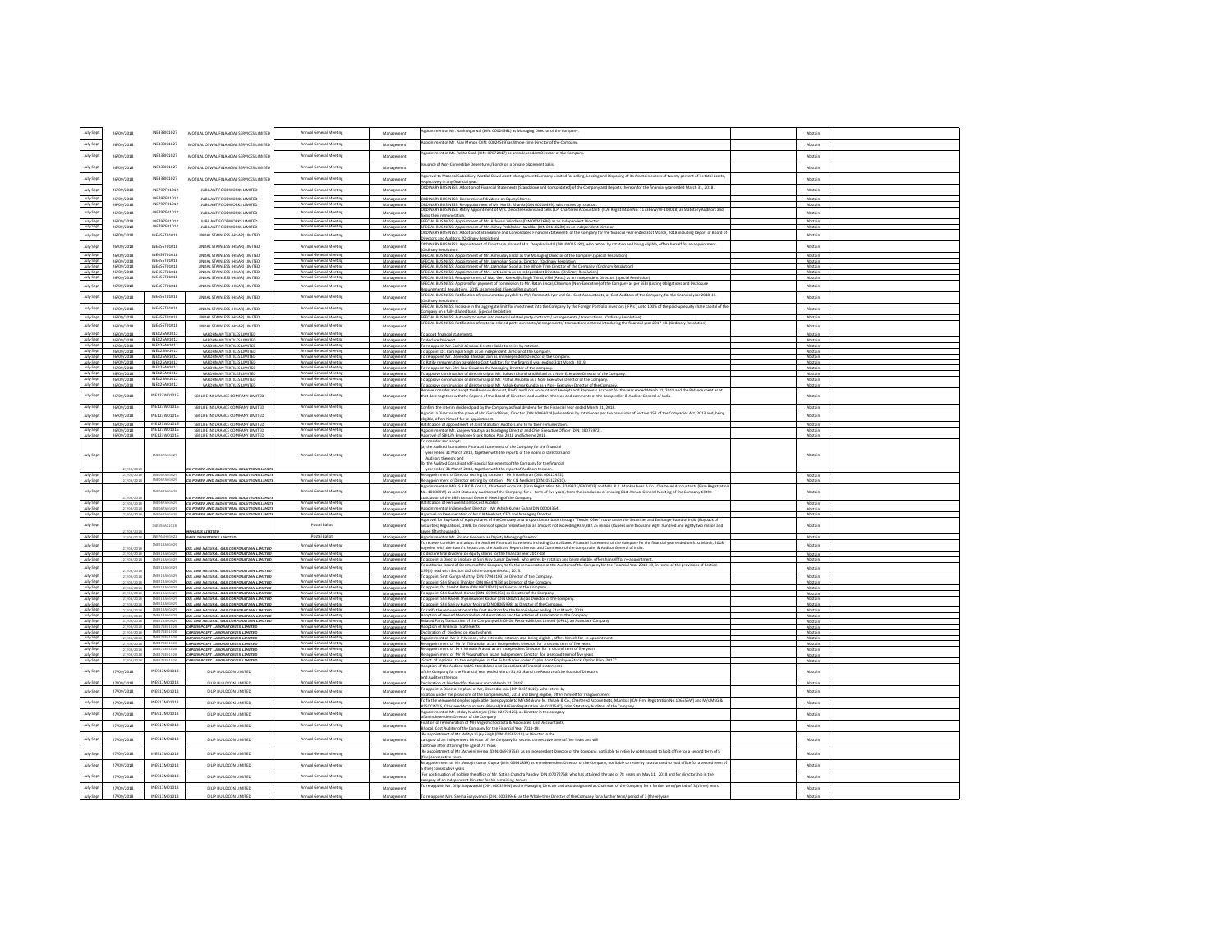| July-Sep               | 26/09/2018               | INE338/01027                               | MOTILAL OSWAL FINANCIAL SERVICES LIMITED                                                | Annual General Meeting                           | Managemen                | pointment of Mr. Navin Agarwal (DIN: 00024561) as Managing Director of the Company                                                                                                                                                                                                                                                                         | Abstai             |  |
|------------------------|--------------------------|--------------------------------------------|-----------------------------------------------------------------------------------------|--------------------------------------------------|--------------------------|------------------------------------------------------------------------------------------------------------------------------------------------------------------------------------------------------------------------------------------------------------------------------------------------------------------------------------------------------------|--------------------|--|
| July-Sep               | 26/09/2018               | INE338/01027                               | MOTILAL OSWAL FINANCIAL SERVICES LIMITED                                                | Annual General Meeting                           | Managemen                | ppointment of Mr. Aiay Menon (DIN: 00024589) as Whole-time Director of the Company                                                                                                                                                                                                                                                                         | Aberai             |  |
|                        |                          |                                            |                                                                                         |                                                  |                          | ppointment of Ms. Rekha Shah (DIN: 07072417) as an Independent Director of the Company.                                                                                                                                                                                                                                                                    |                    |  |
| July-Sep               | 26/09/2018               | INE338/01027                               | MOTILAL OSWAL FINANCIAL SERVICES LIMITED                                                | Annual General Meeting                           | Management               |                                                                                                                                                                                                                                                                                                                                                            | Abstair            |  |
| July-Sept              | 26/09/2018               | INE338/01027                               | MOTILAL OSWAL FINANCIAL SERVICES LIMITED                                                | Annual General Meeting                           | Management               | suance of Non-Convertible Debentures/Bonds on a private placement basis.                                                                                                                                                                                                                                                                                   | Abstail            |  |
| July-Sep               | 26/09/2018               | INE338/01027                               | MOTILAL OSWAL FINANCIAL SERVICES LIMITED                                                | Annual General Meeting                           | Manazement               | pproval to Material Subsidiary, Motilal Oswal Asset Management Company Limited for selling, Leasing and Disposing of its Assets in excess of twenty percent of its total asset<br>spectively in any financial year.                                                                                                                                        | Abstain            |  |
| July-Sept              | 26/09/2018               | INE797F01012                               | JUBILANT FOODWORKS LIMITED                                                              | Annual General Meeting                           | Management               | RDINARY BUSINESS: Adoption of Financial Statements (Standalone and Consolidated) of the Company and Reports thereon for the financial year ended March 31, 2018.                                                                                                                                                                                           | Abstair            |  |
| July-Sept              | 26/09/2018               | INF292F01012                               | JUBILANT FOODWORKS LIMITED                                                              | Annual General Meeting                           | Managemen                | <b>IDINARY BUSINESS: Declaration of dividend on Equity Shares</b>                                                                                                                                                                                                                                                                                          | Abstain            |  |
| July-Sept              | 26/09/2018               | INE797F01012                               | JUBILANT FOODWORKS LIMITED                                                              | Annual General Meeting                           | Management               | ORDINARY BUSINESS: Re-appointment of Mr. Hari S. Bhartia (DIN 00010499), who retires by rotation.                                                                                                                                                                                                                                                          | Abctain            |  |
| July-Sep               | 26/09/2018               | INE797F01012                               | JUBILANT FOODWORKS LIMITED                                                              | Annual General Meeting                           | Management               | RDINARY BUSINESS: Ratify Appointment of M/s. Deloitte Haskins and Sells LLP, Chartered Accountants (ICAI Registration No. 117366W/W-100018) as Statutory Auditors and<br>ing their remuneration.                                                                                                                                                           | Abstair            |  |
| July-Sept<br>July-Sept | 26/09/2018<br>26/09/2018 | INF292F01012<br>INE797F01012               | JUBILANT FOODWORKS LIMITED<br>JUBILANT FOODWORKS LIMITED                                | Annual General Meeting                           | Manazemen<br>Management  | PECIAL BUSINESS: Appointment of Mr. Ashwani Windlass (DIN 00042686) as an Independent Director<br>PECIAL BUSINESS: Appointment of Mr. Abhay Prabhakar Havaldar (DIN 00118280) as an Independent Director.                                                                                                                                                  | Abstain<br>Abstain |  |
| July-Sept              | 26/09/2018               | INE455T01018                               | JINDAL STAINLESS (HISAR) LIMITED                                                        | Annual General Meeting                           | Management               | RDINARY BUSINESS: Adoption of Standalone and Consolidated Financial Statements of the Company for the financial year ended 31st March, 2018 including Report of Board o                                                                                                                                                                                    | Abstain            |  |
|                        |                          | INE455T01018                               |                                                                                         | Annual General Meeting                           |                          | rectors and Auditors, (Ordinary Resolution)<br>DINARY BUSINESS: Appointment of Director in place of Mrs. Deepika Jindal (DIN:00015188), who retires by rotation and being eligible, offers herself for re-appointment.                                                                                                                                     |                    |  |
| July-Sept              | 26/09/2018               | INFASST01018                               | JINDAL STAINLESS (HISAR) LIMITED                                                        | Annual General Meeting                           | Managemen                | Irdinary Resolution)                                                                                                                                                                                                                                                                                                                                       | Abstain            |  |
| July-Sept<br>July-Sept | 26/09/2018<br>26/09/2018 | INE455T01018                               | <b>INDAI STAINLESS (HISARLI MITED)</b><br>JINDAL STAINLESS (HISAR) LIMITED              | Annual General Meeting                           | Managemen<br>Management  | ECIAL BUSINESS: Appointment of Mr. Abhyuday Jindal as the Managing Director of the Company.(Special Resolution)<br>SPECIAL BUSINESS: Appointment of Mr. Jagmohan Sood as Director, (Ordinary Resolution                                                                                                                                                    | Abstair<br>Abstain |  |
| July-Sept              | 26/09/2018               | <b>INE455T01018</b><br><b>INE455T01018</b> | JINDAL STAINLESS (HISAR) LIMITED                                                        | Annual General Meeting                           | Managemen                | PECIAL BUSINESS: Appointment of Mr. Jagmohan Sood as the Whole Time Director of the Company. (Ordinary Resolution)                                                                                                                                                                                                                                         | Abstain            |  |
| July-Sept<br>July-Sept | 26/09/2018<br>26/09/2018 | INFASST01018                               | JINDAL STAINLESS (HISAR) LIMITED<br>JINDAL STAINLESS (HISAR) LIMITED                    | Annual General Meeting<br>Annual General Meeting | Management<br>Managemen  | SPECIAL BUSINESS: Appointment of Mrs. Arti Luniva as an Independent Director, (Ordinary Resolution)<br>PECIAL BUSINESS: Reappointment of Maj. Gen. Kanwalit Singh Thind, VSM (Retd.) as an Independent Director. (Special Resolution                                                                                                                       | Abstain<br>Abstain |  |
| July-Sep               | 26/09/2018               | INE455T01018                               | JINDAL STAINLESS (HISAR) LIMITED                                                        | Annual General Meeting                           | Management               | SPECIAL BUSINESS: Approval for payment of commission to Mr. Ratan Jindal, Chairman (Non-Executive) of the Company as per SEBI (Listing Obligations and Disclosure                                                                                                                                                                                          | Abstain            |  |
| July-Sept              | 26/09/2018               | <b>INE455T01018</b>                        | JINDAL STAINLESS (HISAR) LIMITED                                                        | Annual General Meeting                           | Management               | irements) Regulations, 2015, as amended. (Special Resolution)<br>SPECIAL BUSINESS: Ratification of remuneration payable to M/s Ramanath Iver and Co., Cost Accountants, as Cost Auditors of the Company, for the financial war 2018-19.                                                                                                                    | Abstain            |  |
|                        |                          |                                            |                                                                                         |                                                  |                          |                                                                                                                                                                                                                                                                                                                                                            |                    |  |
| July-Sep               | 26/09/2018               | <b>INE455T01018</b>                        | JINDAL STAINLESS (HISAR) LIMITED                                                        | Annual General Meeting                           | Manazement               | SPECIAL BUSINESS: Increase in the aggregate limit for investment into the Company by the Foreign Portfolio Investors ("FPIs") upto 100% of the paid-up equity share capital of th<br>mpany on a fully diluted basis. (Special Resolution                                                                                                                   | Abstain            |  |
| July-Sept              | 26/09/2018               | INE455T01018                               | JINDAL STAINLESS (HISAR) LIMITED                                                        | Annual General Meeting                           | Management               | SPECIAL BUSINESS: Authority to enter into material related party contracts/ arrangements / transactions. (Ordinary Resolution)<br>PECIAL BUSINESS: Ratification of material related party contracts /arrangements/ transactions entered into during the financial year 2017-18. (Ordinary Resolution)                                                      | Abstain            |  |
| July-Sep               | 26/09/2018               | <b>INE455T01018</b>                        | JINDAL STAINLESS (HISAR) LIMITED                                                        | Annual General Meeting                           | Managemen                |                                                                                                                                                                                                                                                                                                                                                            | Abstair            |  |
| July-Sept<br>July-Sept | 26/09/2018<br>26/09/2018 | INE825A01012<br>INE825A01012               | VARDHMAN TEXTILES LIMITED<br>VARDHMAN TEXTILES LIMITED                                  | Annual General Meeting<br>Annual General Meeting | Manazemen<br>Management  | To adopt financial statements.<br>To declare Dividend.                                                                                                                                                                                                                                                                                                     | Abstain<br>Abstain |  |
| July-Sept              | 26/09/2018               | INE825A01012                               | VARDHMAN TEXTILES LIMITE                                                                | Annual General Meeting                           | Manazemer                | re-appoint Mr. Sachit Jain as a director liable to retire by rotation                                                                                                                                                                                                                                                                                      | Abstain            |  |
| July-Sept              | 26/09/2018               | INE825A01012<br>INE825A01012               | VARDHMAN TEXTILES LIMITED                                                               | Annual General Meeting<br>Annual General Meeting | Management               | To appoint Dr. Parampal Singh as an Independent Director of the Compa                                                                                                                                                                                                                                                                                      | Abstain            |  |
| July-Sept<br>July-Sept | 26/09/2018<br>26/09/2018 | INE825A01012                               | VARDHMAN TEXTILES LIMITED<br>VARDHMAN TEXTILES LIMITED                                  | Annual General M                                 | Management<br>Manazement | o re-appoint Mr. Devendra Bhushan Jain as an Independent Director of the Company<br>To Ratify remuneration payable to Cost Auditors for the financial year ending 31st March. 2019                                                                                                                                                                         | Abstain<br>Abstain |  |
| July-Sept              | 26/09/2018               | INE825A01012                               | VARDHMAN TEXTILES LIMITED                                                               | Annual General Meeting                           | Management               | to re-appoint Mr. Shri Paul Oswal as the Managing Director of the company                                                                                                                                                                                                                                                                                  | Abstain            |  |
| July-Sept<br>July-Sept | 26/09/2018<br>26/09/2018 | INE825A01012<br>INE825A01012               | VARDHMAN TEXTILES LIMITED<br>VARDHMAN TEXTLES LIMITED                                   | Annual General Me<br>Annual General Meeting      | Manazement<br>Manage     | To approve continuation of directorship of Mr. Subash Khanchand Billani as a Non- Executive Director of the Compan                                                                                                                                                                                                                                         | Abstain<br>Abstain |  |
| July-Sept              | 26/09/2018               |                                            | VARDHMAN TEXTILES LIMITED                                                               |                                                  | Management               | approve continuation of directorship of Mr. Prafull Anubhai as a Non- Executive Director of the Co.<br>To approve continuation of directorship of Mr. Ashok Kumar Kundra as a Non-Executive Director of the Company.                                                                                                                                       | Abstain            |  |
|                        |                          |                                            |                                                                                         |                                                  |                          | give consider and adont the Revenue Account. Profit and Loss Account and Receipts and Payments Account for the war ended March 31, 2018 and the Ralance sheet as at                                                                                                                                                                                        |                    |  |
| July-Sept              | 26/09/2018               | INE123W01016                               | SBI LIFE INSURANCE COMPANY LIMITED                                                      | Annual General Meeting                           | Managemen                | at date together with the Reports of the Board of Directors and Auditors thereon and comments of the Comptroller & Auditor General of India                                                                                                                                                                                                                | Abstain            |  |
| July-Sept              | 26/09/2018               | INE123W01016                               | SBI LIFE INSURANCE COMPANY LIMITED                                                      | Annual General Meeting                           | Management               | Confirm the interim dividend paid by the Company as final dividend for the Financial Year ended March 31, 2018.                                                                                                                                                                                                                                            | Abstain            |  |
| July-Sep               | 26/09/2018               | INE123W01016                               | SBLUEF INSURANCE COMPANY UMITED                                                         | Annual General Meeting                           | Management               | pooint a Director in the place of Mr. Gerard Binet, Director (DIN 00066024) who retires by rotation as per the provisions of Section 152 of the Companies Act, 2013 and, being                                                                                                                                                                             | Abstain            |  |
| July-Sept              | 26/09/2018               | INE123W01016                               | SBI LIFE INSURANCE COMPANY LIMITED                                                      | Annual General Meeting                           | Management               | igible, offers himself for re-appointment.<br>atification of appointment of Joint Statutory Auditors and to fix their remuneration.                                                                                                                                                                                                                        | Abstain            |  |
| July-Sept              | 26/09/2018               | INE123W01016                               | SBI LIFE INSURANCE COMPANY LIMITED                                                      | Annual General Meeting                           | Mana                     | intment of Mr. Sanieey Nautival as Managing Director and Chief Executive Officer (DIN: 08075972).                                                                                                                                                                                                                                                          | Abstain            |  |
| July-Sept              | 26/09/2018               |                                            | INE123W01016 SBI LIFE INSURANCE COMPANY LIMITED                                         | Annual General Meeting                           | Management               | Approval of SBI Life Employee Stock Option Plan 2018 and Scheme 2018.<br>consider and adopt:                                                                                                                                                                                                                                                               | Abstain            |  |
| July-Sep               |                          | INE067A01029                               | G POWER AND INDUSTRIAL SOLUTIONS LIM                                                    | Annual General Meeting                           | Management               | a) the Audited Standalone Financial Statements of the Company for the financial<br>year ended 31 March 2018, together with the reports of the Board of Directors and<br>Auditors thereon: and<br>the Audited Consolidated Financial Statements of the Company for the financial<br>year ended 31 March 2018, together with the report of Auditors thereon. | Abstain            |  |
| July-Sept              | 27/09/2018               |                                            |                                                                                         |                                                  |                          |                                                                                                                                                                                                                                                                                                                                                            |                    |  |
|                        |                          |                                            | CG POWER AND INDUSTRIAL SOLUTIONS LIMITE                                                | Annual General Meeting                           | Management               | of Director retiring by rotation Mr B Hariharan (DIN: 00012432)                                                                                                                                                                                                                                                                                            | Abstain            |  |
| July-Sept              |                          |                                            | CG POWER AND INDUSTRIAL SOLUTIONS LIMIT.                                                | Annual General Meeting                           | Administration           | Re-appointment of Director retiring by rotation Mr K N Neelkant (DIN: 05122610)                                                                                                                                                                                                                                                                            |                    |  |
| July-Sep               |                          | INE067A01029                               |                                                                                         | Annual General Meeting                           | Manazement               | intment of M/s. S R B C & Co LLP, Chartered Accounts (Firm Registration No. 324982E/E300003) and M/s. K.K. Mankeshwar & Co., Chartered Accountants (Firm Registrati<br>o. 106009W) as Joint Statutory Auditors of the Company, for a term of five years, from the conclusion of ensuing 81st Annual General Meeting of the Company till the                | Abstain            |  |
| July-Sept              | 27/09/20                 | INE067A01029                               | CG POWER AND INDUSTRIAL SOLUTIONS LIMIT<br>CG POWER AND INDUSTRIAL SOLUTIONS LIMITI     | Annual General Meeting                           | Management               | Lusion of the 86th Annual General Meeting of the Company.<br>atification of Remuneration to Cost Auditor                                                                                                                                                                                                                                                   | Abstain            |  |
| July-Sept              | 27/09/2018               |                                            | CG POWER AND INDUSTRIAL SOLUTIONS LIMITI                                                |                                                  | Management               | ointment of Independent Director Mr Ashish Kumar Guha (DIN:00004364).                                                                                                                                                                                                                                                                                      | Abstain            |  |
| July-Sep               |                          |                                            | CG POWER AND INDUSTRIAL SOLUTIONS LIMIT.                                                | Annual General Meeting                           | Management               | proval on Remuneration of Mr K N Neelkant, CEO and Managing Director.<br>oval for Buy-back of equity shares of the Company on a proportionate basis through "Tender Offer" route under the Securities and Exchange Board of India (Buyback o                                                                                                               | Abctair            |  |
| July-Sep               |                          | INE356A01018                               |                                                                                         | Postal Ballot                                    | Manazement               | curities) Regulations, 1998, by means of special resolution, for an amount not exceeding Rs.9,882.75 million (Rupees nine thousand eight hundred and eighty two million and                                                                                                                                                                                | Abstain            |  |
| July-Sept              |                          | INE761H01022                               | MASTS / IMITAD<br>PAGE INDUSTRIES LIMITED                                               | Postal Ballot                                    | Management               | ion fifty thousands).<br>pointment of Mr. Shamir Genomal as Deputy Managing Director.                                                                                                                                                                                                                                                                      | Abstair            |  |
| July-Sep               |                          | INE213A01029                               |                                                                                         | Annual General Meeting                           | Management               | receive, consider and adopt the Audited Financial Statements including Consolidated Financial Statements of the Company for the financial year ended on 31st March, 2018,                                                                                                                                                                                  | Abstain            |  |
| July-Sep               | 27/09/201                |                                            | <b>IL AND NATURAL GAS CORPORATION LIMITE</b><br>OIL AND NATURAL GAS CORPORATION LIMITED | Annual General Meeting                           | Managemen                | gether with the Board's Report and the Auditors' Report thereon and Comments of the Comptroller & Auditor General of India.<br>declare final dividend on equity shares for the financial year 2017-18.                                                                                                                                                     | Abstain            |  |
| July-Sept              | 27/09/2018               | INE213A01029                               | OIL AND NATURAL GAS CORPORATION LIMITED                                                 | Annual General Meeting                           | Management               | b appoint a Director in place of Shri Ajay Kumar Dwivedi, who retires by rotation and being eligible, offers himself for re-appointment                                                                                                                                                                                                                    | Abstain            |  |
| July-Sep               | 27/09/20                 | INE213A01029                               | OIL AND NATURAL GAS CORPORATION LIMITED                                                 | Annual General Meeting                           | Managemen                | sthorise Board of Directors of the Company to fix the remuneration of the Auditors of the Company for the Financial Year 2018-19, in terms of the provisions of Section<br>39(5) read with Section 142 of the Companies Act, 2013.                                                                                                                         | Abstain            |  |
| July-Sept              | 27/09/20:                | INE213A01029                               | OIL AND NATURAL GAS CORPORATION LIMITED                                                 | Annual General Meeting                           | Managemen                | appoint Smt. Ganga Murthy (DIN 07943103) as Director of the Company.                                                                                                                                                                                                                                                                                       | Abstain            |  |
| July-Sept<br>July-Sep  | 27/09/201                | INE213A01029                               | OIL AND NATURAL GAS CORPORATION LIMITED                                                 | Annual General Meeting<br>Annual General Meetin  | Management               | appoint Shri Shashi Shanker (DIN 06447938) as Director of the Company.                                                                                                                                                                                                                                                                                     | Abstain            |  |
| July-Sep               | 27/09/2<br>27/09/2018    | INE213A01029                               | OIL AND NATURAL GAS CORPORATION LIMITED<br>OIL AND NATURAL GAS CORPORATION LIMITED      | Annual General Meeting                           | Managemen<br>Management  | appoint Dr. Sambit Patra (DIN 03029242) as Director of the Company<br>o appoint Shri Subhash Kumar (DIN-07905656) as Director of the Compa                                                                                                                                                                                                                 | Abstain<br>Abstain |  |
| July-Sept              |                          | INE213A01029<br>INE213A01                  | OIL AND NATURAL GAS CORPORATION LIMITED                                                 | Annual General Meeting                           | Manazemen                | appoint Shri Rajesh Shyamsunder Kakkar (DIN 08029135) as Director of the Company                                                                                                                                                                                                                                                                           | Abstain            |  |
| July-Sep<br>July-Sept  | 27/09/201                | INE213A0                                   | OIL AND NATURAL GAS CORPORATION LIMITED<br>OIL AND NATURAL GAS COR                      | Annual General Meeting<br>Annual General Mee     | Management<br>Manazemer  | To appoint Shri Sanjay Kumar Moitra (DIN 08065998) as Director of the Company.<br>eration of the Cost Auditors for the financial year ending 31st March, 2019.                                                                                                                                                                                             | Abstain<br>Abstain |  |
| July-Sept              | 27/09/201                |                                            | OIL AND NATURAL GAS CORPORATION LIMITED                                                 | Annual General Meeting                           | Management               | Adoption of revised Memorandum of Association and the Articles of Association of the Company.                                                                                                                                                                                                                                                              | Abstain            |  |
| July-Sept              | 27/09/20                 | INE213A01029                               | OIL AND NATURAL GAS CORPORATION LIMITED                                                 | Annual General Meeting<br>Annual General Meeting | Manazement<br>Manazement | lelated Party Transaction of the Company with ONGC Petro-additions Limited (OPaL), an Associate Company                                                                                                                                                                                                                                                    | Abstain            |  |
| July-Sep<br>July-Sept  | 27/09/2018               |                                            | CAPLIN POINT LABORATORIES LIMITED<br>INE475E01026 CAPLIN POINT LABORATORIES LIMITED     | Annual General Meeting                           | Management               | <b>Adoption of Financial Statements</b>                                                                                                                                                                                                                                                                                                                    | Abstain<br>Abstain |  |
| July-Sept              |                          | IND475<br>INE475E01026                     | CAPLIN POINT LABORATORIES LIMITED                                                       |                                                  | Manazement               | .<br>Daclaration of Dividend on equity shares<br>Appointment of Mr D P Mishra , who retires by rotation and being eligible , offers himself for re-app                                                                                                                                                                                                     | Abstain<br>Abstain |  |
| July-Sept<br>July-Sept | 27/09/2018               |                                            | CAPLIN POINT LABORATORIES LIMITED<br>CAPLIN POINT LABORATORIES LIMITED                  | Annual General Meeting<br>Annual General Meeting | Management<br>Manazement | Re-appointment of Mr V Thirumalai as an Independent Director for a second term of five year:<br>appointment of Dr K Nirmala Prasad as an Independent Director for a second term of five year                                                                                                                                                               | Abstain            |  |
| July-Sept              |                          |                                            | CAPLIN POINT LABORATORIES LIMITED                                                       | Annual General Meetin                            |                          | Re-appointment of Mr R Viswanathan as an Independent Director for a second term of five year                                                                                                                                                                                                                                                               |                    |  |
| July-Sept              |                          | INE475E01026                               | CAPLIN POINT LABORATORIES LIMITED                                                       | Annual General Meetin                            | Managemen                | Grant of options to the employees of the Subsidiaries under Caplin Point Employee Stock Option Plan -2017                                                                                                                                                                                                                                                  | Abstair            |  |
| July-Sept              | 27/09/2018               | INE917M01012                               | DILIP BUILDCON LIMITED                                                                  | Annual General Meeting                           | Managemen                | footion of the Audited IndAS Standalone and Consolidated Financial statements<br>mpany for the Financial Year ended March 31,2018 and the Reports of the Board of Directors                                                                                                                                                                                | Abstair            |  |
| July-Sept              | 27/09/2018               | INE917M01012                               | DILIP BUILDCON LIMITED                                                                  |                                                  | Manazemer                | d Auditors thereon                                                                                                                                                                                                                                                                                                                                         | Abstair            |  |
| July-Sep               | 27/09/2018               | INE917M01012                               | DILIP BUILDOON UMITED                                                                   | Annual General Meeting                           | Management               | Declaration ot Dividend for the year cncco March 31, 2018"<br>annoint a Director in glace of Mr. Oevendra Iain (DIN 02374610), who retires hy                                                                                                                                                                                                              | Ahctair            |  |
|                        |                          |                                            |                                                                                         |                                                  |                          | station under the provisions of the Companies Act, 2013 and being eligible, offers himself for reappointment<br>To fix the remuneration plus applicable taxes payable to M/s Mukund M. Chitale & Co., Chartered Accountants, Mumbai (ICAI Firm Registration No.106655W) and M/s MSG &                                                                      |                    |  |
| July-Sep               | 27/09/2018               | INE917M01012                               | DILIP BUILDCON LIMITED                                                                  | Annual General Meeting                           | Management               | ASSOCIATES, Chartered Accountants, Bhopal (ICAI Firm Registration No.010254C), Joint Statutory Auditors of the Company.                                                                                                                                                                                                                                    | Abstain            |  |
| July-Sep               | 27/09/2018               | INE917M01012                               | DILIP BUILDOON UMITED                                                                   | Annual General Meeting                           | Management               | pointment of Mr. Malay Mukherjee (DIN: 02272425), as Director in the category<br>an independent Director of the Company                                                                                                                                                                                                                                    | Abstain            |  |
| July-Sep               | 27/09/2018               | INF917M01012                               | DILIP BUILDCON LIMITED                                                                  | Annual General Meeting                           | Managemen                | isation of remuneration of Mis Vogesh choorasta & Associates, Cost Accountants                                                                                                                                                                                                                                                                             | Abstain            |  |
|                        |                          |                                            |                                                                                         |                                                  |                          | Bhopal, Cost Auditnr of the Company for the Financial Year 7018-19:                                                                                                                                                                                                                                                                                        |                    |  |
| July-Sep               | 27/09/2018               | INE917M01012                               | DILIP BUILDCON LIMITED                                                                  | Annual General Meeting                           | Management               | .<br>Re appointment of Mr. Aditya Vi jay Singh (DIN: 03585519) as Director in the<br>carcgorv of an Independent Director of the Company for second consecutive term of five Years and will<br>tinue after attaining the age of 75 Years                                                                                                                    |                    |  |
| July-Sep               | 27/09/2018               | INE917M01012                               | DILIP BUILDCON LIMITED                                                                  | Annual General Meeting                           | Manazement               | Re appointment of Mr. Ashwini Verma (DIN: 06939756) as an independent Director of the Company, not liable to retire by rotation and to hold office for a second term of 5                                                                                                                                                                                  | Abstain            |  |
|                        |                          |                                            |                                                                                         |                                                  |                          | ivel consecutive vears<br>le appointment of Mr. Amosh Kumar Guota (DIN: 06941839) as an Independent Director of the Company, not liable to retire by rotation and to hold office for a second term of                                                                                                                                                      |                    |  |
| July-Sep               | 27/09/2018               | INE917M01012                               | DILIP BUILDCON LIMITED                                                                  | Annual General Meeting                           | Manazement               | (five) consecutive years                                                                                                                                                                                                                                                                                                                                   | Abstain            |  |
| July-Sep               | 27/09/2018               | INE917M01012                               | DILIP BUILDCON LIMITED                                                                  | Annual General Meeting                           | Management               | For continuation of holding the office of Mr. Satish Chandra Pandey (DIN: 07072768) who has attained the age of 78 years on May 11, 2018 and for directorship in the                                                                                                                                                                                       | Abstain            |  |
| July-Sept              | 27/09/2018               | INE917M01012                               | DILIP BUILDCON LIMITED                                                                  | Annual General Meeting                           | Manazement               | ategory of an independent Director for his remaining tenure<br>To re-appoint Mr. Dilip Suryavandri (DIN: 00039944) as the Managing Director and also designated as Chairman of the Company for a further term/period of 3 (three)                                                                                                                          | Abstain            |  |
| July-Sep               | 27/09/2018               | INE917M0101                                | DILIP BUILDCON LIMITED                                                                  | Annual General Meeting                           | Manazement               | To re-appoint Mrs. Seema Survayanshi (DIN: 00039946) as the Whole-time Director of the Company for a further term/ period of 3 (three) years                                                                                                                                                                                                               | Abstain            |  |